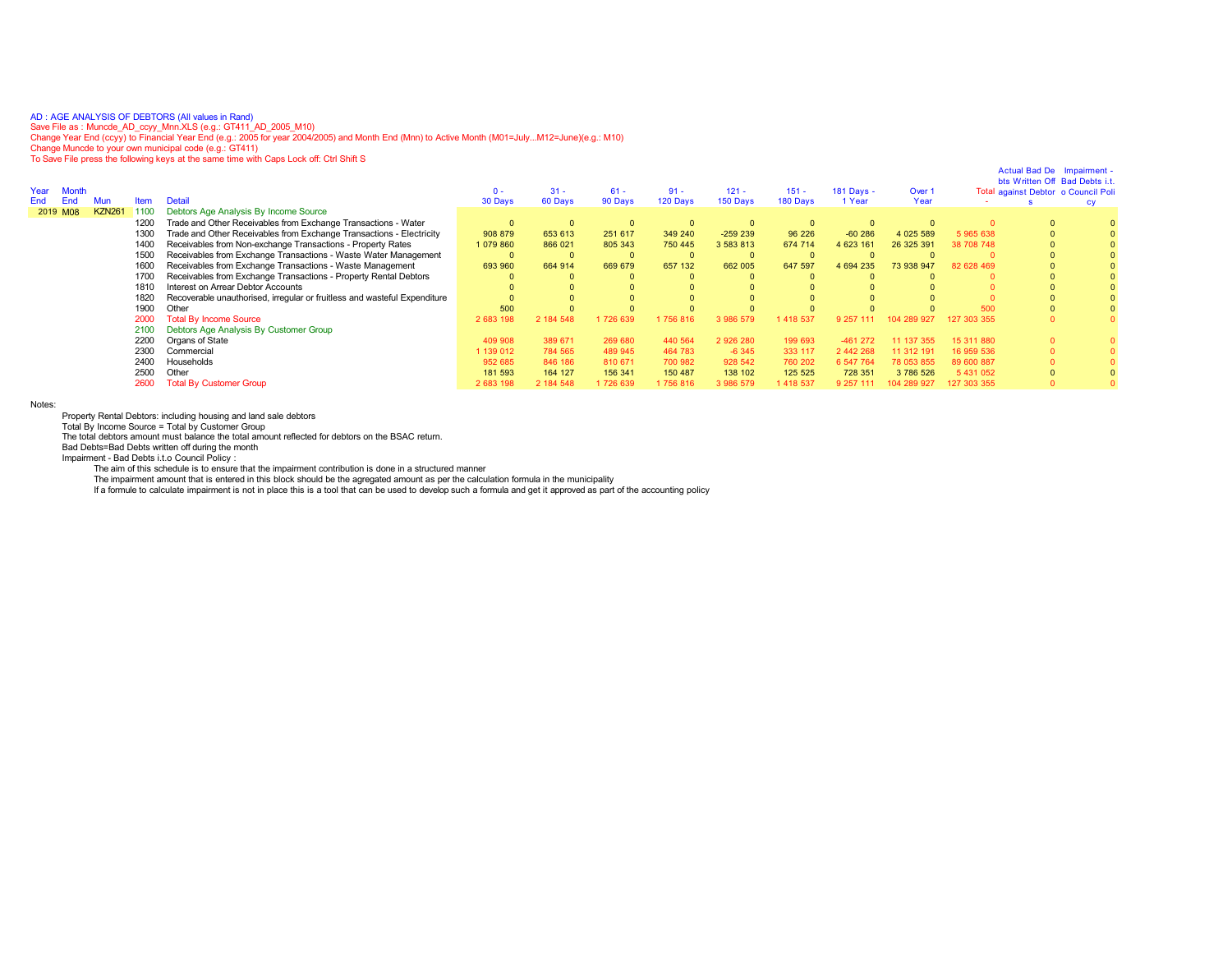AD:AGE ANALYSIS OF DEBTORS (All values in Rand)<br>Save File as : Muncde\_AD\_ccyy\_Mnn.XLS (e.g.: GT411\_AD\_2005\_M10)<br>Change Year End (ccyy) to Financial Year End (e.g.: 2005 for year 2004/2005) and Month End (Mnn) to Active Mon

To Save File press the following keys at the same time with Caps Lock off: Ctrl Shift S

| Year<br><b>Month</b>                                                              | 0 -       | $31 -$    | $61 -$   | $91 -$   | $121 -$   | $151 -$  | 181 Days - | Over 1     |             | Actual Bad De Impairment -<br>bts Written Off Bad Debts i.t.<br>Total against Debtor o Council Poli |  |
|-----------------------------------------------------------------------------------|-----------|-----------|----------|----------|-----------|----------|------------|------------|-------------|-----------------------------------------------------------------------------------------------------|--|
| <b>Detail</b><br>End<br>Mun<br>Item                                               | 30 Days   | 60 Days   | 90 Days  | 120 Days | 150 Days  | 180 Days | 1 Year     | Year       |             |                                                                                                     |  |
| <b>KZN261</b><br>Debtors Age Analysis By Income Source<br>1100<br>2019 M08        |           |           |          |          |           |          |            |            |             |                                                                                                     |  |
| Trade and Other Receivables from Exchange Transactions - Water<br>1200            |           | $\Omega$  |          | $\Omega$ |           |          |            |            |             |                                                                                                     |  |
| Trade and Other Receivables from Exchange Transactions - Electricity<br>1300      | 908 879   | 653 613   | 251 617  | 349 240  | $-259239$ | 96 226   | $-60286$   | 4 025 589  | 5 965 638   |                                                                                                     |  |
| Receivables from Non-exchange Transactions - Property Rates<br>1400               | 1 079 860 | 866 021   | 805 343  | 750 445  | 3 583 813 | 674 714  | 4 623 161  | 26 325 391 | 38 708 748  |                                                                                                     |  |
| Receivables from Exchange Transactions - Waste Water Management<br>1500           |           |           |          | $\Omega$ |           |          |            |            |             |                                                                                                     |  |
| Receivables from Exchange Transactions - Waste Management<br>1600                 | 693 960   | 664 914   | 669 679  | 657 132  | 662 005   | 647 597  | 4 694 235  | 73 938 947 | 82 628 469  |                                                                                                     |  |
| Receivables from Exchange Transactions - Property Rental Debtors<br>1700          |           |           |          |          |           |          |            |            |             |                                                                                                     |  |
| Interest on Arrear Debtor Accounts<br>1810                                        |           |           |          |          |           |          |            |            |             |                                                                                                     |  |
| Recoverable unauthorised, irregular or fruitless and wasteful Expenditure<br>1820 |           |           |          |          |           |          |            |            |             |                                                                                                     |  |
| 1900<br>Other                                                                     | 500       |           |          |          |           |          |            |            | 500         |                                                                                                     |  |
| 2000<br><b>Total By Income Source</b>                                             | 2 683 198 | 2 184 548 | 1726 639 | 756 816  | 3 986 579 | 418 537  | 9 2 5 7    |            | 127 303 355 |                                                                                                     |  |
| Debtors Age Analysis By Customer Group<br>2100                                    |           |           |          |          |           |          |            |            |             |                                                                                                     |  |
| 2200<br>Organs of State                                                           | 409 908   | 389 671   | 269 680  | 440 564  | 2926280   | 199 693  | $-461272$  | 11 137 355 | 15 311 880  |                                                                                                     |  |
| 2300<br>Commercial                                                                | 1 139 012 | 784 565   | 489 945  | 464 783  | $-6345$   | 333 117  | 2 442 268  | 11 312 191 | 16 959 536  |                                                                                                     |  |
| 2400<br>Households                                                                | 952 685   | 846 186   | 810 671  | 700 982  | 928 542   | 760 202  | 6 547 764  | 78 053 855 | 89 600 887  |                                                                                                     |  |
| 2500<br>Other                                                                     | 181 593   | 164 127   | 156 341  | 150 487  | 138 102   | 125 525  | 728 351    | 3786526    | 5 431 052   |                                                                                                     |  |
| 2600<br><b>Total By Customer Group</b>                                            | 2 683 198 | 2 184 548 | 1726 639 | 756 816  | 3 986 579 | 418 537  | 9 257      |            | 127 303 355 |                                                                                                     |  |
|                                                                                   |           |           |          |          |           |          |            |            |             |                                                                                                     |  |

Notes:

Property Rental Debtors: including housing and land sale debtors Total By Income Source = Total by Customer Group

The total debtors amount must balance the total amount reflected for debtors on the BSAC return.

Bad Debts=Bad Debts written off during the month

Impairment - Bad Debts i.t.o Council Policy :

The aim of this schedule is to ensure that the impairment contribution is done in a structured manner

The impairment amount that is entered in this block should be the agregated amount as per the calculation formula in the municipality<br>If a formule to calculate impairment is not in place this is a tool that can be used to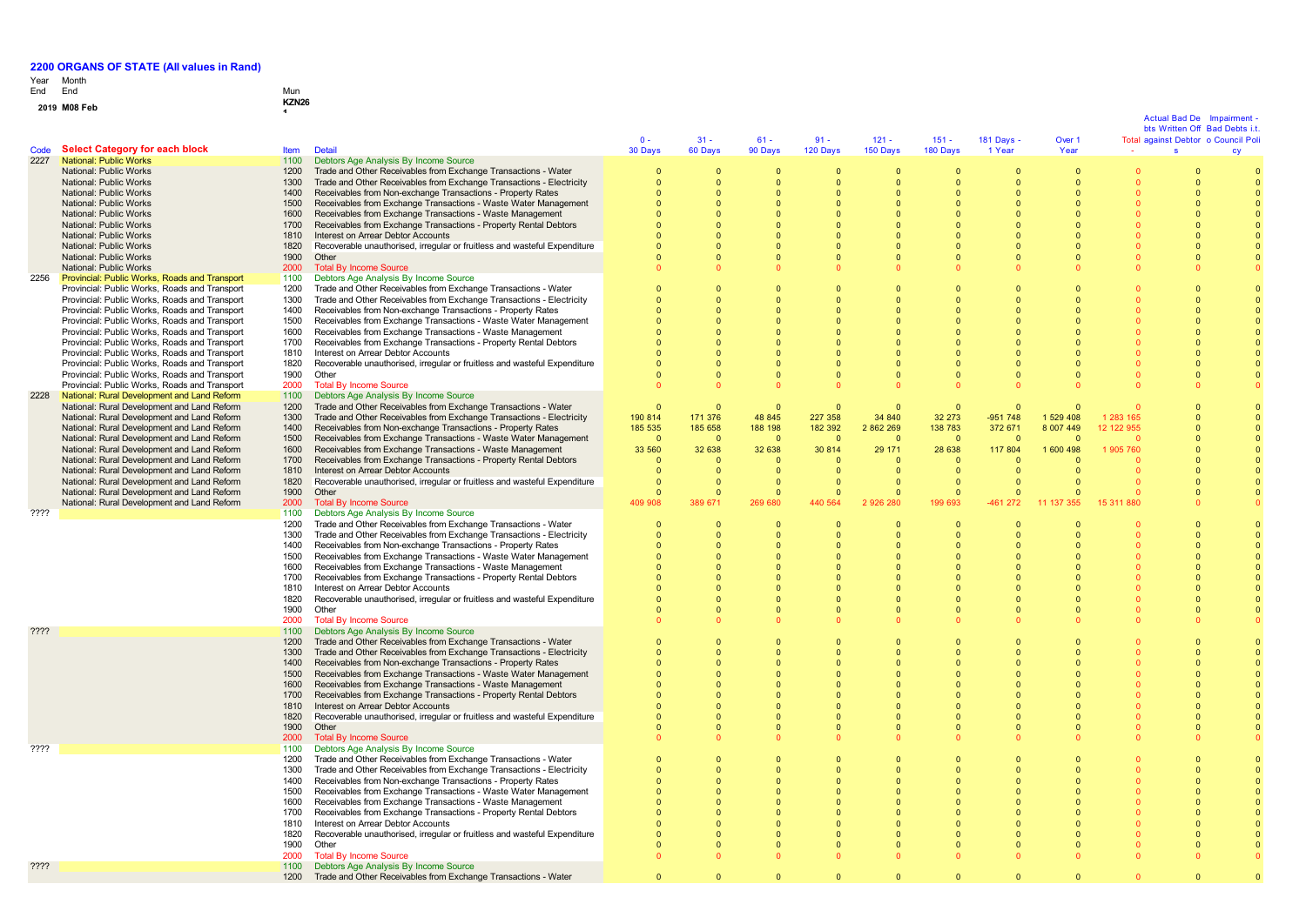# Year End Month End Mun

# **0 1 <sup>9</sup> M08 Feb KZN26 <sup>1</sup>**

|      |                                                                                                |              |                                                                                                                                        | $0 -$          | $31 -$               | $61 -$               | $91 -$               | $121 -$               | $151 -$                    | 181 Days -            | Over 1                     |                | Actual Bad De<br>bts Written Off Bad Debts i.t.<br>Total against Debtor o Council Pol | Impairment |
|------|------------------------------------------------------------------------------------------------|--------------|----------------------------------------------------------------------------------------------------------------------------------------|----------------|----------------------|----------------------|----------------------|-----------------------|----------------------------|-----------------------|----------------------------|----------------|---------------------------------------------------------------------------------------|------------|
| Code | <b>Select Category for each block</b>                                                          | <b>Item</b>  | <b>Detail</b>                                                                                                                          | 30 Days        | 60 Days              | 90 Days              | 120 Days             | 150 Days              | 180 Days                   | 1 Year                | Year                       |                | s.                                                                                    | <b>CV</b>  |
| 2227 | National: Public Works                                                                         | 1100         | Debtors Age Analysis By Income Source                                                                                                  |                |                      |                      |                      |                       |                            |                       |                            |                |                                                                                       |            |
|      | National: Public Works<br>National: Public Works                                               | 1200<br>1300 | Trade and Other Receivables from Exchange Transactions - Water<br>Trade and Other Receivables from Exchange Transactions - Electricity |                | $\Omega$             | 0<br>$\Omega$        | $\Omega$             | 0<br>$\Omega$         | $\mathbf 0$<br>$\Omega$    | $\Omega$              | $\overline{0}$<br>$\Omega$ |                | $\overline{0}$<br>$\Omega$                                                            |            |
|      | National: Public Works                                                                         | 1400         | Receivables from Non-exchange Transactions - Property Rates                                                                            |                | $\Omega$             | $\Omega$             | $\Omega$             | $\Omega$              | $\Omega$                   | $\Omega$              | $\Omega$                   |                | $\Omega$                                                                              |            |
|      | National: Public Works                                                                         | 1500         | Receivables from Exchange Transactions - Waste Water Management                                                                        |                | $\Omega$             | $\Omega$             | $\Omega$             | $\Omega$              | $\Omega$                   | $\Omega$              | $\Omega$                   |                | $\Omega$                                                                              |            |
|      | National: Public Works                                                                         | 1600         | Receivables from Exchange Transactions - Waste Management                                                                              |                |                      | $\Omega$             | $\Omega$             |                       | $\Omega$                   | $\Omega$              | $\Omega$                   |                | $\Omega$                                                                              |            |
|      | National: Public Works                                                                         | 1700         | Receivables from Exchange Transactions - Property Rental Debtors                                                                       |                |                      |                      |                      |                       | $\Omega$                   | $\Omega$              | $\Omega$                   |                |                                                                                       |            |
|      | National: Public Works                                                                         | 1810         | Interest on Arrear Debtor Accounts                                                                                                     |                |                      |                      |                      |                       |                            |                       |                            |                |                                                                                       |            |
|      | National: Public Works                                                                         | 1820         | Recoverable unauthorised, irregular or fruitless and wasteful Expenditure                                                              |                |                      |                      |                      |                       | $\Omega$                   |                       | $\Omega$                   |                |                                                                                       |            |
|      | National: Public Works                                                                         | 1900         | Other                                                                                                                                  |                | $\Omega$             | $\Omega$             | $\Omega$             |                       | $\Omega$                   | $\Omega$              | $\Omega$                   |                | $\Omega$                                                                              |            |
|      | National: Public Works                                                                         | 2000         | <b>Total By Income Source</b>                                                                                                          |                |                      |                      |                      |                       |                            |                       |                            |                |                                                                                       |            |
| 2256 | Provincial: Public Works, Roads and Transport                                                  | 1100         | Debtors Age Analysis By Income Source                                                                                                  |                |                      |                      |                      |                       |                            |                       |                            |                |                                                                                       |            |
|      | Provincial: Public Works, Roads and Transport<br>Provincial: Public Works, Roads and Transport | 1200<br>1300 | Trade and Other Receivables from Exchange Transactions - Water<br>Trade and Other Receivables from Exchange Transactions - Electricity | $\Omega$       |                      |                      |                      |                       | $\overline{0}$<br>$\Omega$ |                       | $\overline{0}$             |                |                                                                                       |            |
|      | Provincial: Public Works, Roads and Transport                                                  | 1400         | Receivables from Non-exchange Transactions - Property Rates                                                                            |                |                      |                      |                      |                       | $\Omega$                   |                       |                            |                |                                                                                       |            |
|      | Provincial: Public Works, Roads and Transport                                                  | 1500         | Receivables from Exchange Transactions - Waste Water Management                                                                        |                |                      | $\Omega$             | $\Omega$             | $\Omega$              | $\Omega$                   | $\Omega$              | $\sqrt{ }$                 |                | $\Omega$                                                                              |            |
|      | Provincial: Public Works, Roads and Transport                                                  | 1600         | Receivables from Exchange Transactions - Waste Management                                                                              | $\Omega$       | $\Omega$             | $\Omega$             | $\Omega$             | $\Omega$              | $\Omega$                   | $\Omega$              | $\sqrt{ }$                 |                | $\Omega$                                                                              |            |
|      | Provincial: Public Works, Roads and Transport                                                  | 1700         | Receivables from Exchange Transactions - Property Rental Debtors                                                                       |                |                      | $\Omega$             | $\Omega$             |                       | $\Omega$                   | $\Omega$              | $\Omega$                   |                |                                                                                       |            |
|      | Provincial: Public Works, Roads and Transport                                                  | 1810         | Interest on Arrear Debtor Accounts                                                                                                     |                |                      | $\Omega$             |                      |                       | $\Omega$                   |                       | $\Omega$                   |                |                                                                                       |            |
|      | Provincial: Public Works, Roads and Transport                                                  | 1820         | Recoverable unauthorised, irregular or fruitless and wasteful Expenditure                                                              |                |                      | $\Omega$             |                      |                       | $\Omega$                   | $\Omega$              | $\Omega$                   |                |                                                                                       |            |
|      | Provincial: Public Works, Roads and Transport                                                  | 1900         | Other                                                                                                                                  |                | $\Omega$             | $\Omega$             | $\Omega$             | $\Omega$              | $\Omega$                   | $\Omega$              | $\Omega$                   |                | $\Omega$                                                                              |            |
|      | Provincial: Public Works, Roads and Transport                                                  | 2000         | <b>Total By Income Source</b>                                                                                                          |                |                      | $\Omega$             | $\Omega$             |                       | $\Omega$                   | $\Omega$              |                            |                |                                                                                       |            |
| 2228 | National: Rural Development and Land Reform<br>National: Rural Development and Land Reform     | 1100<br>1200 | Debtors Age Analysis By Income Source<br>Trade and Other Receivables from Exchange Transactions - Water                                | $\Omega$       | $\Omega$             | $\Omega$             | $\Omega$             | $\Omega$              | $\Omega$                   | $\Omega$              | $\Omega$                   |                |                                                                                       |            |
|      | National: Rural Development and Land Reform                                                    | 1300         | Trade and Other Receivables from Exchange Transactions - Electricity                                                                   | 190 814        | 171 376              | 48 845               | 227 358              | 34 840                | 32 273                     | $-951748$             | 1 529 408                  | 1 283 165      |                                                                                       |            |
|      | National: Rural Development and Land Reform                                                    | 1400         | Receivables from Non-exchange Transactions - Property Rates                                                                            | 185 535        | 185 658              | 188 198              | 182 392              | 2 862 269             | 138 783                    | 372 671               | 8 007 449                  | 12 122 955     |                                                                                       |            |
|      | National: Rural Development and Land Reform                                                    | 1500         | Receivables from Exchange Transactions - Waste Water Management                                                                        | $\Omega$       | $\Omega$             | $\Omega$             | $\Omega$             | $\sqrt{ }$            | $\Omega$                   | $\Omega$              | $\Omega$                   |                |                                                                                       |            |
|      | National: Rural Development and Land Reform                                                    | 1600         | Receivables from Exchange Transactions - Waste Management                                                                              | 33 560         | 32 638               | 32 638               | 30 814               | 29 171                | 28 638                     | 117 804               | 1 600 498                  | 1 905 760      |                                                                                       |            |
|      | National: Rural Development and Land Reform                                                    | 1700         | Receivables from Exchange Transactions - Property Rental Debtors                                                                       | $\Omega$       | $\Omega$             | $\Omega$             | $\Omega$             | $\Omega$              | $\Omega$                   | $\Omega$              | $\Omega$                   |                |                                                                                       |            |
|      | National: Rural Development and Land Reform                                                    | 1810         | Interest on Arrear Debtor Accounts                                                                                                     | $\Omega$       | $\Omega$             | $\Omega$             | $\Omega$             | $\Omega$              | $\Omega$                   | $\Omega$              | $\Omega$                   |                |                                                                                       |            |
|      | National: Rural Development and Land Reform                                                    | 1820         | Recoverable unauthorised, irregular or fruitless and wasteful Expenditure                                                              |                | $\Omega$             | $\Omega$             | $\Omega$             | $\Omega$              | $\Omega$                   | $\Omega$              | $\Omega$                   |                |                                                                                       |            |
|      | National: Rural Development and Land Reform<br>National: Rural Development and Land Reform     | 1900<br>2000 | Other<br><b>Total By Income Source</b>                                                                                                 | 409 908        | $\Omega$<br>389 671  | $\Omega$<br>269 680  | $\Omega$<br>440 564  | $\Omega$<br>2 926 280 | $\overline{0}$<br>199 693  | $\Omega$<br>$-461272$ | $\Omega$<br>11 137 355     | 15 3 11<br>880 |                                                                                       |            |
| ???? |                                                                                                | 1100         | Debtors Age Analysis By Income Source                                                                                                  |                |                      |                      |                      |                       |                            |                       |                            |                |                                                                                       |            |
|      |                                                                                                | 1200         | Trade and Other Receivables from Exchange Transactions - Water                                                                         | $\overline{0}$ | $\Omega$             | $\mathbf{0}$         | $\overline{0}$       | $\Omega$              | $\overline{0}$             | $\Omega$              | $\Omega$                   |                | $\Omega$                                                                              |            |
|      |                                                                                                | 1300         | Trade and Other Receivables from Exchange Transactions - Electricity                                                                   | $\mathbf 0$    | $\mathbf{0}$         | $\mathbf{0}$         | $\overline{0}$       | $\mathbf 0$           | $\overline{0}$             |                       | $\mathbf 0$                |                |                                                                                       |            |
|      |                                                                                                | 1400         | Receivables from Non-exchange Transactions - Property Rates                                                                            |                |                      |                      |                      |                       | $\Omega$                   |                       |                            |                |                                                                                       |            |
|      |                                                                                                | 1500         | Receivables from Exchange Transactions - Waste Water Management                                                                        |                |                      |                      |                      |                       | $\Omega$                   |                       |                            |                |                                                                                       |            |
|      |                                                                                                | 1600         | Receivables from Exchange Transactions - Waste Management                                                                              |                | $\Omega$             | $\Omega$             | $\Omega$             | $\Omega$              | $\Omega$                   | $\Omega$              | $\sqrt{ }$                 |                |                                                                                       |            |
|      |                                                                                                | 1700         | Receivables from Exchange Transactions - Property Rental Debtors                                                                       |                | $\Omega$<br>$\Omega$ | $\Omega$<br>$\Omega$ | $\Omega$<br>$\Omega$ | $\Omega$<br>$\Omega$  | $\Omega$<br>$\Omega$       | $\Omega$<br>$\Omega$  | $\Omega$<br>$\Omega$       |                | $\Omega$<br>$\Omega$                                                                  |            |
|      |                                                                                                | 1810<br>1820 | Interest on Arrear Debtor Accounts<br>Recoverable unauthorised, irregular or fruitless and wasteful Expenditure                        |                |                      | $\Omega$             | $\Omega$             |                       | $\Omega$                   | $\Omega$              | $\Omega$                   |                | $\Omega$                                                                              |            |
|      |                                                                                                | 1900         | Other                                                                                                                                  |                | $\Omega$             | $\Omega$             | $\Omega$             |                       | $\Omega$                   | $\Omega$              | $\Omega$                   |                | $\Omega$                                                                              |            |
|      |                                                                                                | 2000         | <b>Total By Income Source</b>                                                                                                          |                |                      | $\Omega$             |                      |                       | $\Omega$                   |                       |                            |                |                                                                                       |            |
| ???? |                                                                                                | 1100         | Debtors Age Analysis By Income Source                                                                                                  |                |                      |                      |                      |                       |                            |                       |                            |                |                                                                                       |            |
|      |                                                                                                | 1200         | Trade and Other Receivables from Exchange Transactions - Water                                                                         | $\Omega$       | $\Omega$             | $\Omega$             | $\Omega$             | n                     | $\Omega$                   | $\Omega$              | $\Omega$                   |                | $\Omega$                                                                              |            |
|      |                                                                                                | 1300         | Trade and Other Receivables from Exchange Transactions - Electricity                                                                   |                |                      | $\Omega$             |                      | $\Omega$              | $\Omega$                   | $\Omega$              | $\Omega$                   |                | $\Omega$                                                                              |            |
|      |                                                                                                | 1400         | Receivables from Non-exchange Transactions - Property Rates                                                                            |                |                      |                      |                      |                       | $\Omega$                   | $\Omega$              | $\Omega$                   |                |                                                                                       |            |
|      |                                                                                                | 1500         | Receivables from Exchange Transactions - Waste Water Management                                                                        |                |                      |                      |                      |                       | $\Omega$                   | $\Omega$              | $\Omega$                   |                |                                                                                       |            |
|      |                                                                                                | 1600<br>1700 | Receivables from Exchange Transactions - Waste Management<br>Receivables from Exchange Transactions - Property Rental Debtors          |                |                      | $\Omega$             |                      |                       | $\Omega$<br>$\Omega$       | $\Omega$<br>$\Omega$  | $\Omega$<br>$\Omega$       |                |                                                                                       |            |
|      |                                                                                                | 1810         | Interest on Arrear Debtor Accounts                                                                                                     |                |                      | $\Omega$             |                      |                       | $\Omega$                   | $\Omega$              | $\Omega$                   |                |                                                                                       |            |
|      |                                                                                                | 1820         | Recoverable unauthorised, irregular or fruitless and wasteful Expenditure                                                              |                |                      | $\Omega$             |                      |                       | $\Omega$                   | $\Omega$              | $\Omega$                   |                | $\Omega$                                                                              |            |
|      |                                                                                                | 1900         | Other                                                                                                                                  |                | $\Omega$             | $\Omega$             |                      |                       | $\Omega$                   | $\Omega$              | $\Omega$                   |                | $\Omega$                                                                              |            |
|      |                                                                                                | 2000         | <b>Total By Income Source</b>                                                                                                          |                |                      |                      |                      |                       |                            |                       |                            |                |                                                                                       |            |
| ???? |                                                                                                | 1100         | Debtors Age Analysis By Income Source                                                                                                  |                |                      |                      |                      |                       |                            |                       |                            |                |                                                                                       |            |
|      |                                                                                                | 1200         | Trade and Other Receivables from Exchange Transactions - Water                                                                         | $\Omega$       | $\Omega$             | $\Omega$             | $\Omega$             |                       | $\Omega$                   | $\Omega$              | $\Omega$                   |                |                                                                                       |            |
|      |                                                                                                | 1300         | Trade and Other Receivables from Exchange Transactions - Electricity                                                                   |                |                      | $\Omega$             | $\Omega$             |                       | $\Omega$                   | $\Omega$              | $\Omega$                   |                | $\Omega$                                                                              |            |
|      |                                                                                                | 1400<br>1500 | Receivables from Non-exchange Transactions - Property Rates<br>Receivables from Exchange Transactions - Waste Water Management         |                |                      | $\Omega$             | $\mathbf{0}$         |                       | $\mathbf 0$                | $\Omega$              | $\Omega$                   |                |                                                                                       |            |
|      |                                                                                                | 1600         | Receivables from Exchange Transactions - Waste Management                                                                              |                |                      |                      |                      |                       | $\Omega$                   |                       |                            |                |                                                                                       |            |
|      |                                                                                                | 1700         | Receivables from Exchange Transactions - Property Rental Debtors                                                                       |                | $\Omega$             | $\Omega$             | $\Omega$             |                       | $\Omega$                   | $\Omega$              | $\Omega$                   |                |                                                                                       |            |
|      |                                                                                                | 1810         | Interest on Arrear Debtor Accounts                                                                                                     |                | $\Omega$             | $\Omega$             | $\Omega$             | $\Omega$              | $\Omega$                   | $\Omega$              | $\Omega$                   |                | $\Omega$                                                                              |            |
|      |                                                                                                | 1820         | Recoverable unauthorised, irregular or fruitless and wasteful Expenditure                                                              |                | $\Omega$             | $\Omega$             | $\Omega$             | $\Omega$              | $\Omega$                   | $\Omega$              | $\Omega$                   |                |                                                                                       |            |
|      |                                                                                                | 1900         | Other                                                                                                                                  |                | $\Omega$             | $\overline{0}$       | $\Omega$             |                       | $\overline{0}$             | $\Omega$              | $\Omega$                   |                |                                                                                       |            |
|      |                                                                                                | 2000         | <b>Total By Income Source</b>                                                                                                          |                |                      |                      |                      |                       |                            |                       |                            |                |                                                                                       |            |
| ???? |                                                                                                | 1100         | Debtors Age Analysis By Income Source                                                                                                  |                |                      |                      |                      |                       |                            |                       |                            |                |                                                                                       |            |
|      |                                                                                                | 1200         | Trade and Other Receivables from Exchange Transactions - Water                                                                         | $\Omega$       | $\Omega$             | $\Omega$             | $\Omega$             | $\Omega$              | $\Omega$                   | $\Omega$              | $\Omega$                   |                | $\Omega$                                                                              |            |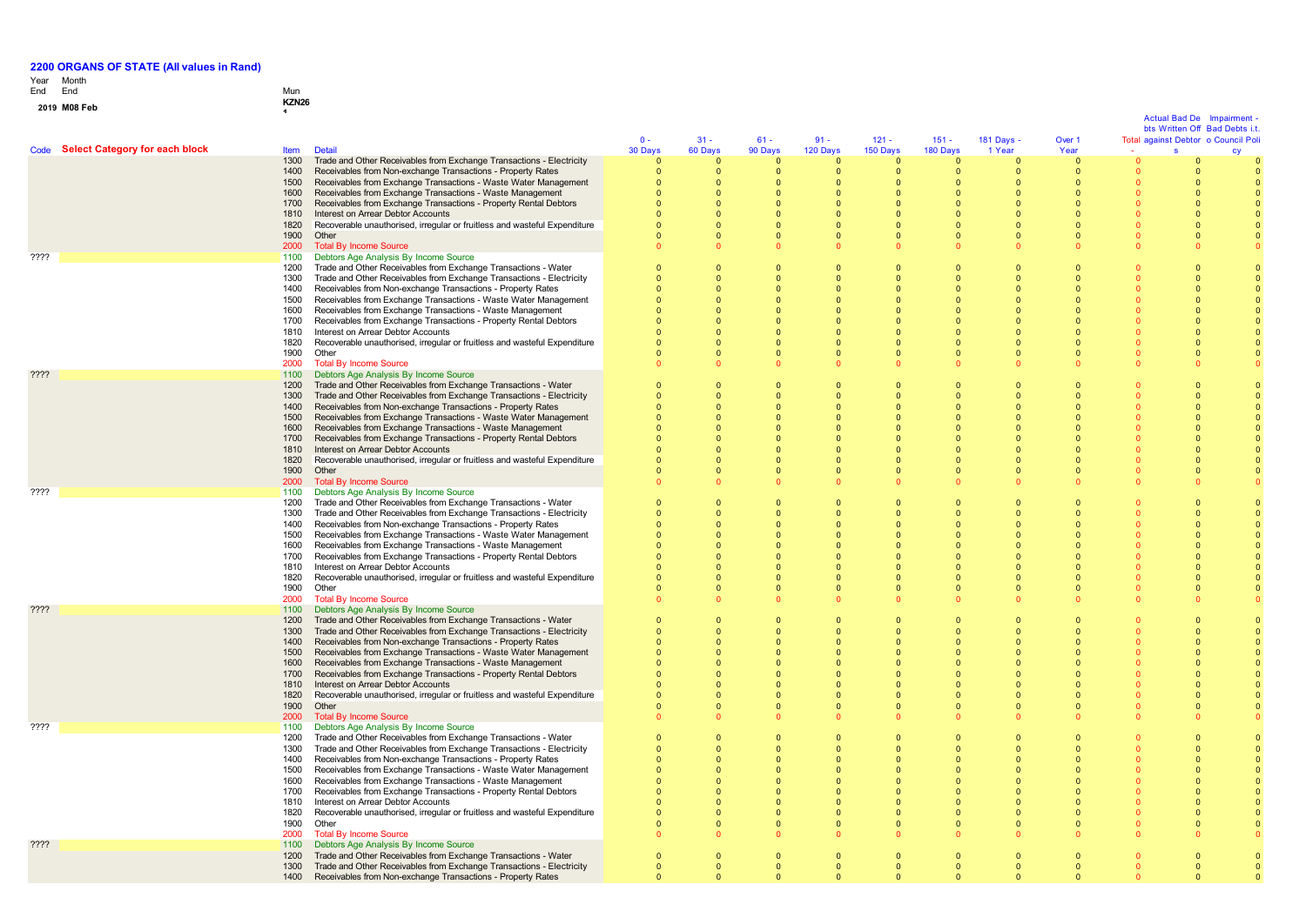# Year End Month End Mun

# **0 1 <sup>9</sup> M08 Feb KZN26 <sup>1</sup>**

 $\mathbf{0}$ 

|                                     |              |                                                                                                                                |                         |                          |                                  |                         |                          |                              |                         |                      |          | Actual Bad De | Impairment<br>bts Written Off Bad Debts i.t. |
|-------------------------------------|--------------|--------------------------------------------------------------------------------------------------------------------------------|-------------------------|--------------------------|----------------------------------|-------------------------|--------------------------|------------------------------|-------------------------|----------------------|----------|---------------|----------------------------------------------|
|                                     |              |                                                                                                                                | $0 -$                   | $31 -$                   | $61 -$                           | $91 -$                  | $121 -$                  | $151 -$                      | 181 Days -              | Over 1               |          |               | Total against Debtor o Council Pol           |
| Code Select Category for each block | <b>Item</b>  | <b>Detail</b>                                                                                                                  | 30 Days                 | 60 Days                  | 90 Days                          | 120 Days                | 150 Days                 | 180 Days                     | 1 Year                  | Year                 |          | s             |                                              |
|                                     | 1300         | Trade and Other Receivables from Exchange Transactions - Electricity                                                           | $\Omega$                | $\Omega$                 | $\Omega$                         | $\Omega$                | $\Omega$                 | $\Omega$                     | $\Omega$                | $\Omega$             |          |               |                                              |
|                                     | 1400<br>1500 | Receivables from Non-exchange Transactions - Property Rates<br>Receivables from Exchange Transactions - Waste Water Management | $\mathbf 0$<br>$\Omega$ | $\mathbf{0}$<br>$\Omega$ | $\overline{0}$<br>$\overline{0}$ | $\mathbf 0$<br>$\Omega$ | $\mathbf{0}$<br>$\Omega$ | $\mathbf{0}$<br>$\Omega$     | $\mathbf 0$<br>$\Omega$ | $\Omega$<br>$\Omega$ |          | $\Omega$      |                                              |
|                                     | 1600         | Receivables from Exchange Transactions - Waste Management                                                                      | $\Omega$                | $\Omega$                 | $\Omega$                         | $\Omega$                | $\Omega$                 | $\Omega$                     | $\Omega$                | $\Omega$             |          | $\Omega$      |                                              |
|                                     | 1700         | Receivables from Exchange Transactions - Property Rental Debtors                                                               |                         | $\Omega$                 | $\overline{0}$                   |                         | $\Omega$                 | $\Omega$                     | $\Omega$                | $\Omega$             |          | $\Omega$      |                                              |
|                                     | 1810         | Interest on Arrear Debtor Accounts                                                                                             |                         | $\Omega$                 | $\Omega$                         |                         | $\Omega$                 | $\Omega$                     | $\Omega$                | $\Omega$             |          | $\Omega$      |                                              |
|                                     | 1820         | Recoverable unauthorised, irregular or fruitless and wasteful Expenditure                                                      |                         | $\mathbf{0}$             | $\overline{0}$                   |                         | $\overline{0}$           | $\mathbf{0}$                 | $\overline{0}$          | $\Omega$             | $\Omega$ | $\Omega$      |                                              |
|                                     | 1900         | Other                                                                                                                          |                         | $\Omega$                 | $\Omega$                         | $\Omega$                | $\Omega$                 | $\Omega$                     | $\Omega$                | $\Omega$             | $\Omega$ | $\Omega$      |                                              |
|                                     | 2000         | <b>Total By Income Source</b>                                                                                                  | $\Omega$                | $\Omega$                 | $\Omega$                         |                         |                          | $\Omega$                     | $\Omega$                |                      | $\Omega$ |               |                                              |
| ????                                | 1100<br>1200 | Debtors Age Analysis By Income Source<br>Trade and Other Receivables from Exchange Transactions - Water                        | $\Omega$                | $\Omega$                 | $\Omega$                         | $\Omega$                | $\Omega$                 | $\Omega$                     | $\Omega$                |                      |          |               |                                              |
|                                     | 1300         | Trade and Other Receivables from Exchange Transactions - Electricity                                                           | $\Omega$                | $\mathbf{0}$             | $\Omega$                         |                         | $\Omega$                 | $\overline{0}$               | $\Omega$                |                      |          |               |                                              |
|                                     | 1400         | Receivables from Non-exchange Transactions - Property Rates                                                                    |                         | $\Omega$                 | $\Omega$                         |                         | $\Omega$                 | $\Omega$                     | $\Omega$                |                      |          |               |                                              |
|                                     | 1500         | Receivables from Exchange Transactions - Waste Water Management                                                                | $\Omega$                | $\Omega$                 | $\Omega$                         | $\Omega$                | $\Omega$                 | $\Omega$                     | $\Omega$                |                      |          |               |                                              |
|                                     | 1600         | Receivables from Exchange Transactions - Waste Management                                                                      | $\Omega$                | $\Omega$                 | $\Omega$                         | $\Omega$                | $\Omega$                 | $\Omega$                     | $\Omega$                | $\Omega$             |          |               |                                              |
|                                     | 1700         | Receivables from Exchange Transactions - Property Rental Debtors                                                               | $\Omega$                | $\Omega$                 | $\Omega$                         | $\Omega$                | $\Omega$                 | $\Omega$                     | $\sqrt{ }$              |                      |          |               |                                              |
|                                     | 1810<br>1820 | Interest on Arrear Debtor Accounts<br>Recoverable unauthorised, irregular or fruitless and wasteful Expenditure                | $\Omega$                | $\Omega$<br>$\Omega$     | $\Omega$<br>$\overline{0}$       |                         | $\Omega$<br>$\Omega$     | $\mathbf{0}$<br>$\mathbf{0}$ | $\Omega$<br>$\Omega$    |                      |          |               |                                              |
|                                     | 1900         | Other                                                                                                                          |                         | $\mathbf{0}$             | $\overline{0}$                   | $\Omega$                | $\Omega$                 | $\mathbf{0}$                 | $\overline{0}$          | $\Omega$             |          |               |                                              |
|                                     | 2000         | <b>Total By Income Source</b>                                                                                                  |                         | $\Omega$                 | $\Omega$                         |                         |                          | $\Omega$                     |                         |                      | $\Omega$ |               |                                              |
| $??\mathsf{??}$                     | 1100         | Debtors Age Analysis By Income Source                                                                                          |                         |                          |                                  |                         |                          |                              |                         |                      |          |               |                                              |
|                                     | 1200         | Trade and Other Receivables from Exchange Transactions - Water                                                                 | $\Omega$                | $\Omega$                 | $\Omega$                         |                         | $\Omega$                 | $\Omega$                     | $\Omega$                | $\Omega$             |          |               |                                              |
|                                     | 1300         | Trade and Other Receivables from Exchange Transactions - Electricity                                                           |                         | $\Omega$                 | $\Omega$                         |                         | $\Omega$                 | $\Omega$                     | $\Omega$                |                      |          |               |                                              |
|                                     | 1400         | Receivables from Non-exchange Transactions - Property Rates                                                                    |                         | $\Omega$<br>$\Omega$     | $\Omega$<br>$\Omega$             |                         | $\Omega$<br>$\Omega$     | $\Omega$<br>$\Omega$         | $\Omega$<br>$\Omega$    |                      |          |               |                                              |
|                                     | 1500<br>1600 | Receivables from Exchange Transactions - Waste Water Management<br>Receivables from Exchange Transactions - Waste Management   |                         | $\Omega$                 | $\Omega$                         |                         | $\Omega$                 | $\Omega$                     | $\Omega$                | $\Omega$             |          |               |                                              |
|                                     | 1700         | Receivables from Exchange Transactions - Property Rental Debtors                                                               |                         | $\Omega$                 | $\Omega$                         |                         | $\Omega$                 | $\Omega$                     | $\Omega$                |                      |          |               |                                              |
|                                     | 1810         | Interest on Arrear Debtor Accounts                                                                                             |                         | $\Omega$                 | $\Omega$                         |                         | $\Omega$                 | $\Omega$                     | $\Omega$                |                      |          |               |                                              |
|                                     | 1820         | Recoverable unauthorised, irregular or fruitless and wasteful Expenditure                                                      |                         | $\Omega$                 | $\Omega$                         |                         | $\Omega$                 | $\Omega$                     | $\Omega$                |                      |          |               |                                              |
|                                     | 1900         | Other                                                                                                                          |                         | $\mathbf{0}$             | $\Omega$                         |                         | $\Omega$                 | $\mathbf{0}$                 | $\Omega$                |                      |          |               |                                              |
|                                     | 2000         | <b>Total By Income Source</b>                                                                                                  |                         | $\Omega$                 | $\Omega$                         |                         |                          | $\Omega$                     | $\Omega$                |                      | $\Omega$ |               |                                              |
| ????                                | 1100<br>1200 | Debtors Age Analysis By Income Source<br>Trade and Other Receivables from Exchange Transactions - Water                        | $\Omega$                | $\mathbf{0}$             | $\overline{0}$                   | $\Omega$                | $\Omega$                 | $\mathbf{0}$                 | $\overline{0}$          |                      |          |               |                                              |
|                                     | 1300         | Trade and Other Receivables from Exchange Transactions - Electricity                                                           |                         | $\Omega$                 | $\Omega$                         |                         | $\Omega$                 | $\Omega$                     | $\Omega$                |                      |          |               |                                              |
|                                     | 1400         | Receivables from Non-exchange Transactions - Property Rates                                                                    |                         | $\Omega$                 | $\Omega$                         |                         | $\Omega$                 | $\Omega$                     | $\Omega$                |                      |          |               |                                              |
|                                     | 1500         | Receivables from Exchange Transactions - Waste Water Management                                                                | $\Omega$                | $\Omega$                 | $\Omega$                         | $\Omega$                | $\Omega$                 | $\Omega$                     | $\Omega$                |                      |          | $\Omega$      |                                              |
|                                     | 1600         | Receivables from Exchange Transactions - Waste Management                                                                      | $\Omega$                | $\Omega$                 | $\Omega$                         | $\Omega$                | $\Omega$                 | $\Omega$                     | $\Omega$                | $\Omega$             |          | $\Omega$      |                                              |
|                                     | 1700         | Receivables from Exchange Transactions - Property Rental Debtors                                                               | $\Omega$                | $\Omega$                 | $\Omega$                         | $\Omega$                | $\Omega$                 | $\Omega$                     | $\Omega$                | $\Omega$             |          | $\Omega$      |                                              |
|                                     | 1810         | Interest on Arrear Debtor Accounts                                                                                             |                         | $\mathbf{0}$             | $\overline{0}$<br>$\Omega$       |                         | $\overline{0}$           | $\mathbf{0}$                 | $\Omega$                |                      |          |               |                                              |
|                                     | 1820<br>1900 | Recoverable unauthorised, irregular or fruitless and wasteful Expenditure<br>Other                                             |                         | $\Omega$<br>$\mathbf{0}$ | $\overline{0}$                   |                         | $\Omega$<br>$\Omega$     | $\mathbf{0}$<br>$\mathbf{0}$ | $\Omega$<br>$\Omega$    | $\Omega$             |          |               |                                              |
|                                     | 2000         | <b>Total By Income Source</b>                                                                                                  |                         | $\Omega$                 | $\Omega$                         |                         |                          | $\Omega$                     |                         |                      | $\Omega$ |               |                                              |
| ????                                | 1100         | Debtors Age Analysis By Income Source                                                                                          |                         |                          |                                  |                         |                          |                              |                         |                      |          |               |                                              |
|                                     | 1200         | Trade and Other Receivables from Exchange Transactions - Water                                                                 | $\mathbf{0}$            | $\mathbf{0}$             | $\overline{0}$                   |                         | $\overline{0}$           | $\overline{0}$               | $\overline{0}$          |                      |          |               |                                              |
|                                     | 1300         | Trade and Other Receivables from Exchange Transactions - Electricity                                                           |                         | $\Omega$                 | $\Omega$                         |                         | $\Omega$                 | $\Omega$                     | $\Omega$                |                      |          |               |                                              |
|                                     | 1400         | Receivables from Non-exchange Transactions - Property Rates                                                                    |                         | $\Omega$                 | $\Omega$                         |                         | $\Omega$                 | $\Omega$                     | $\Omega$                | $\Omega$             |          | $\Omega$      |                                              |
|                                     | 1500<br>1600 | Receivables from Exchange Transactions - Waste Water Management<br>Receivables from Exchange Transactions - Waste Management   | $\Omega$                | $\Omega$<br>$\Omega$     | $\Omega$<br>$\Omega$             | $\Omega$<br>$\Omega$    | $\Omega$<br>$\Omega$     | $\Omega$<br>$\Omega$         | $\Omega$<br>$\Omega$    | $\Omega$             |          | $\Omega$      |                                              |
|                                     | 1700         | Receivables from Exchange Transactions - Property Rental Debtors                                                               |                         | $\Omega$                 | $\Omega$                         |                         | $\Omega$                 | $\Omega$                     | $\Omega$                |                      |          |               |                                              |
|                                     | 1810         | Interest on Arrear Debtor Accounts                                                                                             |                         | $\mathbf{0}$             | $\overline{0}$                   |                         | $\overline{0}$           | $\mathbf{0}$                 | $\overline{0}$          | $\Omega$             |          |               |                                              |
|                                     | 1820         | Recoverable unauthorised, irregular or fruitless and wasteful Expenditure                                                      |                         | $\Omega$                 | $\Omega$                         |                         | $\Omega$                 | $\Omega$                     | $\Omega$                |                      |          |               |                                              |
|                                     | 1900         | Other                                                                                                                          | $\Omega$                | $\Omega$                 | $\Omega$                         | $\Omega$                | $\Omega$                 | $\Omega$                     | $\Omega$                | $\Omega$             | $\Omega$ | $\Omega$      |                                              |
|                                     | 2000         | <b>Total By Income Source</b>                                                                                                  | $\Omega$                | $\Omega$                 | $\Omega$                         |                         |                          | $\Omega$                     | $\Omega$                |                      | n        |               |                                              |
| ????                                | 1100<br>1200 | Debtors Age Analysis By Income Source<br>Trade and Other Receivables from Exchange Transactions - Water                        | $\Omega$                | $\mathbf{0}$             | $\Omega$                         |                         | $\Omega$                 | $\overline{0}$               | $\Omega$                |                      |          |               |                                              |
|                                     | 1300         | Trade and Other Receivables from Exchange Transactions - Electricity                                                           | $\Omega$                | $\Omega$                 |                                  |                         | $\Omega$                 | $\Omega$                     | $\Omega$                |                      |          |               |                                              |
|                                     | 1400         | Receivables from Non-exchange Transactions - Property Rates                                                                    | $\Omega$                | $\Omega$                 | $\Omega$                         | $\Omega$                | $\Omega$                 | $\Omega$                     | $\Omega$                |                      |          |               |                                              |
|                                     | 1500         | Receivables from Exchange Transactions - Waste Water Management                                                                | $\Omega$                | $\Omega$                 | $\Omega$                         | $\Omega$                | $\Omega$                 | $\Omega$                     | $\Omega$                | $\Omega$             |          | $\Omega$      |                                              |
|                                     | 1600         | Receivables from Exchange Transactions - Waste Management                                                                      | $\Omega$                | $\Omega$                 | $\Omega$                         | $\Omega$                | $\Omega$                 | $\Omega$                     | $\Omega$                | $\Omega$             |          | $\Omega$      |                                              |
|                                     | 1700         | Receivables from Exchange Transactions - Property Rental Debtors                                                               |                         | $\Omega$                 | $\Omega$                         |                         | $\Omega$                 | $\mathbf{0}$                 | $\Omega$                |                      |          |               |                                              |
|                                     | 1810<br>1820 | Interest on Arrear Debtor Accounts<br>Recoverable unauthorised, irregular or fruitless and wasteful Expenditure                |                         | $\mathbf{0}$<br>$\Omega$ | $\overline{0}$<br>$\Omega$       | $\Omega$                | $\mathbf 0$<br>$\Omega$  | $\mathbf{0}$<br>$\Omega$     | $\Omega$<br>$\Omega$    | $\Omega$             |          |               |                                              |
|                                     | 1900         | Other                                                                                                                          |                         | $\Omega$                 | $\Omega$                         |                         | $\Omega$                 | $\Omega$                     | $\Omega$                | $\Omega$             |          |               |                                              |
|                                     | 2000         | <b>Total By Income Source</b>                                                                                                  |                         | $\Omega$                 | $\Omega$                         |                         |                          |                              |                         |                      |          |               |                                              |
| 7777                                | 1100         | Debtors Age Analysis By Income Source                                                                                          |                         |                          |                                  |                         |                          |                              |                         |                      |          |               |                                              |
|                                     | 1200         | Trade and Other Receivables from Exchange Transactions - Water                                                                 |                         | $\mathbf{0}$             | $\overline{0}$                   | $\Omega$                | $\overline{0}$           | $\overline{0}$               | $\overline{0}$          | $\Omega$             |          |               |                                              |
|                                     | 1300         | Trade and Other Receivables from Exchange Transactions - Electricity                                                           |                         | $\mathbf{0}$             | $\Omega$                         | $\Omega$                | $\Omega$                 | $\Omega$                     | $\Omega$                |                      | $\Omega$ | $\Omega$      |                                              |
|                                     | 1400         | Receivables from Non-exchange Transactions - Property Rates                                                                    |                         | $\Omega$                 |                                  |                         | $\Omega$                 | $\Omega$                     |                         |                      |          |               |                                              |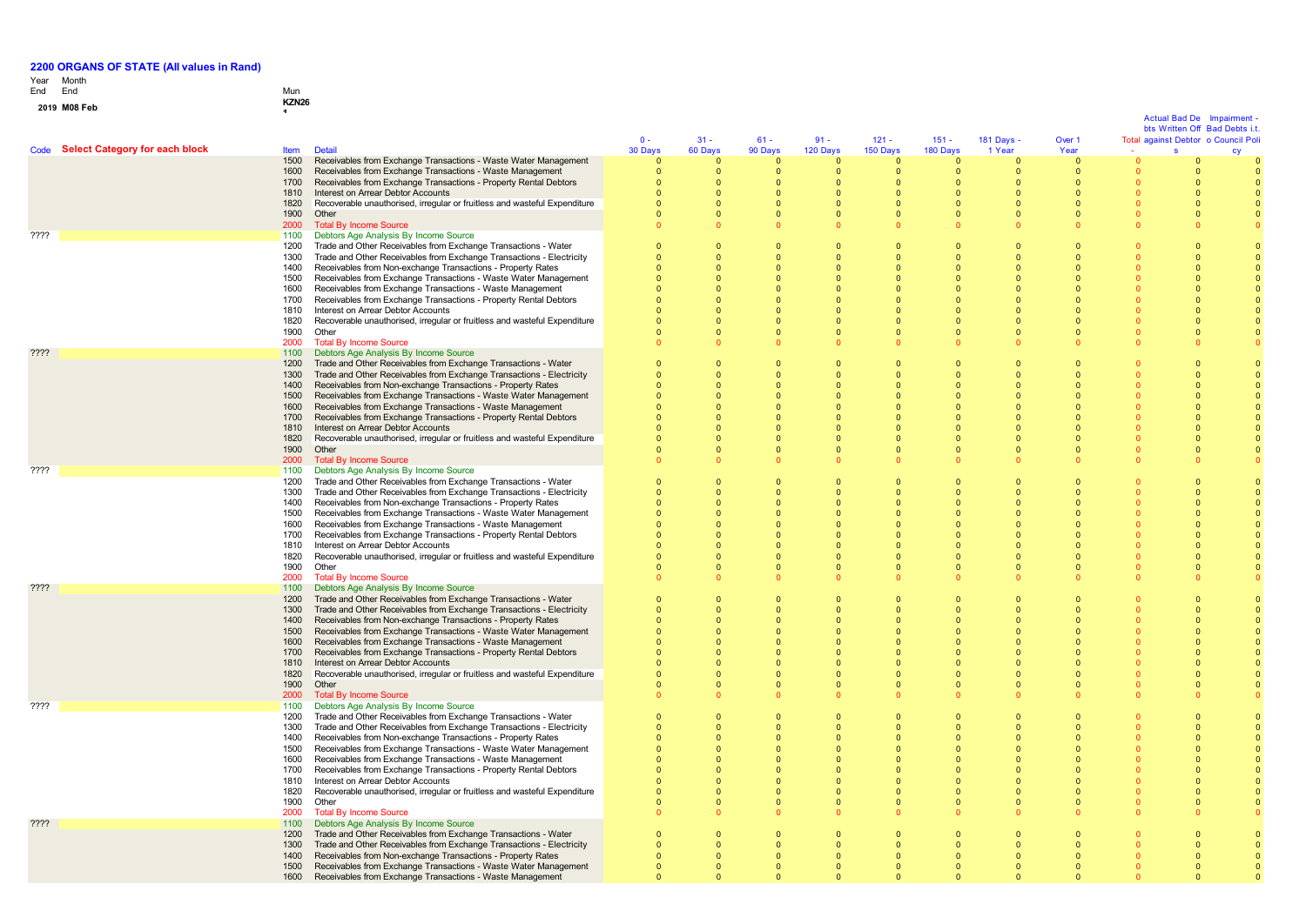### Year Month End

**2 0 1**

## End Mun **<sup>9</sup> M08 Feb KZN26 <sup>1</sup>**

## Actual Bad De Impairment -

 $\mathbf{0}$ 

 $\mathbf{0}$ 

0 0

0

Code **Select Category for each block** Item Detail  $\mathbf{0}$  -3 0 D a y s 3 1 - 6 0 D a y s 6 1 - 9 0 D a y s 9 1 - 1 2 0 D a y s 1 2 1 - 1 5 0 D a y s 1 5 1 - 180 Days 1 8 1 D a y s - 1 Year Over 1 Year Total against Debtor o Council Poli - Actual Bad De Impairment -<br>bts Written Off Bad Debts i.t.<br>against Debtor o Council Poli<br>s cy cy 1500 Receivables from Exchange Transactions - Waste Water Management ຳ ຳ  $\sqrt{2}$  $\sqrt{2}$ ່ດ  $\sqrt{2}$  $\Omega$  $\overline{0}$  $\mathbf{0}$  $\sqrt{2}$  $\sqrt{2}$ 1600 Receivables from Exchange Transactions - Waste Management  $\sqrt{2}$  $\sqrt{2}$  $\overline{0}$  $\Omega$  $\Omega$  $\sqrt{2}$  $\sqrt{2}$  $\sqrt{2}$  $\mathbf 0$  $\overline{0}$  $\Omega$ 1700 Receivables from Exchange Transactions - Property Rental Debtors  $\overline{0}$ 0  $\sqrt{2}$  $\sqrt{2}$  $\sqrt{2}$  $\mathbf{0}$  $\sqrt{2}$  $\sqrt{2}$  $\mathbf{0}$  $\sqrt{2}$  $\sqrt{2}$ 1810 Interest on Arrear Debtor Accounts<br>1820 Recoverable unauthorised, irregular  $\Omega$  $\Omega$  $\Omega$  $\Omega$  $\Omega$  $\Omega$  $\mathbf{0}$  $\Omega$  $\mathbf{0}$  $\Omega$  $\Omega$ 1820 Recoverable unauthorised, irregular or fruitless and wasteful Expenditure<br>1900 Other 0  $\Omega$  $\Omega$  $\Omega$  $\Omega$  $\overline{0}$  $\Omega$  $\Omega$  $\mathbf{0}$  $\overline{0}$  $\Omega$ 1900 Other<br>2000 Total 0  $\sqrt{2}$  $\Omega$  $\Omega$  $\Omega$  $\sqrt{2}$  $\Omega$  $\Omega$  $\mathbf{0}$  $\sqrt{2}$  $\Omega$ 2000 Total By Income Source<br>1100 Debtors Age Analysis By  $\sqrt{2}$ 0  $\Omega$  $\Omega$  $\overline{0}$  $\mathbf{0}$  $\mathbf{0}$  $\Omega$  $\mathbf{0}$  $\mathbf{0}$ ???? 1100 Debtors Age Analysis By Income Source 1200 Trade and Other Receivables from Exchange Transactions - Water 0 0 0 0 0  $\Omega$  $\Omega$ 0  $\Omega$  $\overline{0}$  $\Omega$ 1300 Trade and Other Receivables from Exchange Transactions - Electricity  $\sqrt{2}$  $\sqrt{2}$ 0  $\Omega$  $\Omega$  $\sqrt{2}$  $\sqrt{2}$  $\sqrt{2}$  $\sqrt{2}$  $\sqrt{2}$  $\Omega$ 1400 Receivables from Non-exchange Transactions - Property Rates  $\sqrt{2}$ 0  $\Omega$  $\Omega$  $\mathbf{0}$  $\mathbf{0}$  $\mathbf{0}$  $\sqrt{2}$  $\mathbf{0}$  $\sqrt{2}$ 1500 Receivables from Exchange Transactions - Waste Water Management  $\Omega$  $\Omega$  $\Omega$  $\Omega$  $\sqrt{2}$  $\overline{0}$  $\sqrt{2}$  $\Omega$  $\mathbf{0}$  $\Omega$  $\Omega$ 1600 Receivables from Exchange Transactions - Waste Management  $\overline{0}$  $\sqrt{2}$  $\Omega$  $\Omega$  $\sqrt{2}$  $\sqrt{2}$  $\sqrt{2}$  $\sqrt{2}$  $\mathbf{0}$  $\Omega$  $\sqrt{2}$ 1700 Receivables from Exchange Transactions - Property Rental Debtors  $\Omega$  $\Omega$  $\Omega$  $\Omega$  $\Omega$  $\Omega$  $\Omega$  $\Omega$  $\mathbf{0}$  $\Omega$  $\Omega$ 1810 Interest on Arrear Debtor Accounts<br>1820 Recoverable unauthorised, irregular 0 0  $\Omega$  $\Omega$  $\mathbf{0}$  $\mathbf{0}$  $\mathbf{0}$ 0  $\mathbf{0}$  $\Omega$  $\Omega$ 1820 Recoverable unauthorised, irregular or fruitless and wasteful Expenditure<br>1900 Other  $\sqrt{2}$  $\sqrt{2}$  $\sqrt{2}$  $\Omega$  $\Omega$  $\sqrt{2}$  $\Omega$  $\Omega$  $\mathbf{0}$  $\sqrt{2}$  $\Omega$ 1900 Other<br>2000 Total  $\sqrt{2}$  $\sqrt{2}$  $\Omega$  $\Omega$  $\Omega$  $\sqrt{2}$  $\Omega$  $\Omega$  $\mathbf{0}$  $\Omega$  $\Omega$ 2000 Total By Income Source<br>1100 Debtors Age Analysis By  $\overline{0}$ 0  $\sqrt{2}$  $\Omega$  $\mathbf{0}$  $\mathbf{0}$  $\mathbf{0}$  $\sqrt{2}$  $\mathbf{0}$  $\overline{0}$  $\sqrt{2}$ Pressure Analysis By Income Source<br>
1100 Debtors Age Analysis By Income Source<br>
1200 Trade and Other Receivables from Excha 1200 Trade and Other Receivables from Exchange Transactions - Water  $\overline{0}$  $\Omega$  $\Omega$  $\Omega$  $\Omega$  $\Omega$  $\Omega$  $\Omega$  $\Omega$  $\Omega$  $\Omega$ 1300 Trade and Other Receivables from Exchange Transactions - Electricity  $\sqrt{2}$  $\sqrt{2}$ 0  $\Omega$  $\Omega$  $\sqrt{2}$  $\Omega$  $\Omega$  $\mathbf{0}$  $\sqrt{2}$  $\Omega$ 1400 Receivables from Non-exchange Transactions - Property Rates  $\overline{0}$  $\Omega$  $\overline{0}$  $\Omega$  $\Omega$  $\overline{0}$  $\Omega$  $\Omega$  $\mathbf{0}$  $\overline{0}$  $\Omega$ 1500 Receivables from Exchange Transactions - Waste Water Management  $\sqrt{2}$  $\sqrt{2}$  $\sqrt{2}$  $\Omega$  $\Omega$  $\sqrt{2}$  $\Omega$  $\sqrt{2}$  $\mathbf 0$  $\sqrt{2}$  $\sqrt{2}$ 1600 Receivables from Exchange Transactions - Waste Management  $\overline{0}$  $\Omega$  $\Omega$  $\Omega$  $\Omega$  $\Omega$  $\mathbf{0}$  $\Omega$  $\mathbf{0}$  $\Omega$  $\Omega$ 1700 Receivables from Exchange Transactions - Property Rental Debtors 0  $\overline{0}$  $\Omega$  $\Omega$  $\Omega$  $\overline{0}$  $\Omega$  $\Omega$  $\mathbf{0}$ 0  $\Omega$ 1810 Interest on Arrear Debtor Accounts<br>1820 Recoverable unauthorised irregular o  $\overline{0}$ 0  $\overline{0}$  $\Omega$  $\Omega$ 0  $\Omega$  $\Omega$  $\mathbf 0$  $\Omega$  $\Omega$ 1820 Recoverable unauthorised, irregular or fruitless and wasteful Expenditure  $\sqrt{2}$  $\sqrt{2}$  $\Omega$  $\Omega$  $\Omega$  $\sqrt{2}$  $\Omega$  $\Omega$  $\mathbf{0}$  $\sqrt{2}$  $\Omega$ 1900 Other<br>2000 Total I 0 0 0 0  $\overline{0}$ 0  $\mathbf{0}$ 0  $\mathbf{0}$ 0 0 2000 Total By Income Source<br>1100 Debtors Age Analysis By  $\sqrt{2}$  $\sqrt{2}$  $\Omega$  $\Omega$  $\Omega$  $\mathbf{0}$  $\mathbf{0}$  $\sqrt{2}$  $\mathbf{0}$  $\sqrt{2}$  $\Omega$ ???? 1100 Debtors Age Analysis By Income Source 1200 Trade and Other Receivables from Exchange Transactions - Water 0  $\sqrt{2}$  $\sqrt{2}$  $\Omega$  $\Omega$  $\sqrt{2}$  $\Omega$  $\sqrt{2}$  $\overline{0}$  $\sqrt{2}$  $\Omega$ 1300 Trade and Other Receivables from Exchange Transactions - Electricity 0 0 0 0  $\overline{0}$ 0 0 0  $\mathbf{0}$ 0 0 1400 Receivables from Non-exchange Transactions - Property Rates  $\Omega$  $\Omega$  $\Omega$  $\Omega$  $\Omega$  $\Omega$  $\Omega$  $\Omega$  $\mathbf{0}$  $\overline{0}$  $\Omega$ 1500 Receivables from Exchange Transactions - Waste Water Management  $\sqrt{2}$  $\sqrt{2}$  $\sqrt{2}$  $\Omega$  $\sqrt{2}$  $\sqrt{2}$  $\sqrt{2}$  $\sqrt{2}$  $\mathbf 0$  $\sqrt{2}$  $\sqrt{2}$ 1600 Receivables from Exchange Transactions - Waste Management  $\Omega$  $\sqrt{2}$  $\Omega$  $\Omega$  $\Omega$  $\Omega$  $\Omega$  $\Omega$  $\mathbf{0}$  $\overline{0}$  $\Omega$ 1700 Receivables from Exchange Transactions - Property Rental Debtors  $\Omega$  $\Omega$  $\Omega$  $\Omega$  $\Omega$  $\Omega$ 0  $\Omega$ 0  $\Omega$  $\Omega$ 1810 Interest on Arrear Debtor Accounts  $\sqrt{2}$  $\sqrt{2}$  $\Omega$  $\Omega$  $\Omega$  $\sqrt{2}$  $\Omega$  $\Omega$  $\mathbf{0}$  $\sqrt{2}$  $\Omega$ 1820 Recoverable unauthorised, irregular or fruitless and wasteful Expenditure<br>1900 Other  $\sqrt{2}$  $\sqrt{2}$  $\Omega$  $\Omega$  $\Omega$  $\sqrt{2}$  $\sqrt{2}$  $\sqrt{2}$  $\mathbf{0}$  $\sqrt{2}$  $\Omega$ 1900<br>2000  $\overline{0}$  $\sqrt{2}$  $\mathbf{0}$  $\sqrt{2}$  $\sqrt{2}$  $\sqrt{2}$  $\Omega$  $\sqrt{2}$ 0 0  $\sqrt{2}$ 2000 Total By Income Source<br>1100 Debtors Age Analysis B  $\Omega$ 0  $\Omega$  $\Omega$  $\Omega$  $\mathbf{0}$  $\mathbf{0}$  $\mathbf{0}$  $\mathbf{0}$  $\Omega$ ???? 1100 Debtors Age Analysis By Income Source 1200 Trade and Other Receivables from Exchange Transactions - Water  $\overline{0}$  $\sqrt{2}$  $\Omega$  $\Omega$  $\Omega$  $\sqrt{2}$  $\sqrt{2}$  $\Omega$  $\overline{0}$  $\overline{0}$  $\Omega$ 1300 Trade and Other Receivables from Exchange Transactions - Electricity  $\sqrt{2}$  $\sqrt{2}$  $\sqrt{2}$  $\sqrt{2}$  $\Omega$  $\sqrt{2}$  $\Omega$  $\sqrt{2}$  $\mathbf{0}$  $\sqrt{2}$  $\Omega$ 1400 Receivables from Non-exchange Transactions - Property Rates  $\sqrt{2}$  $\sqrt{2}$  $\sqrt{2}$  $\Omega$  $\sqrt{2}$  $\sqrt{2}$  $\Omega$  $\sqrt{2}$ 0  $\sqrt{2}$  $\Omega$ 1500 Receivables from Exchange Transactions - Waste Water Management 0  $\overline{0}$ 0  $\Omega$  $\Omega$  $\overline{0}$  $\Omega$  $\Omega$  $\mathbf{0}$  $\overline{0}$  $\Omega$ 1600 Receivables from Exchange Transactions - Waste Management 0  $\sqrt{2}$  $\Omega$  $\Omega$  $\Omega$  $\sqrt{2}$  $\Omega$  $\sqrt{2}$  $\mathbf{0}$  $\Omega$  $\Omega$ 1700 Receivables from Exchange Transactions - Property Rental Debtors  $\overline{0}$  $\sqrt{2}$  $\Omega$  $\sqrt{2}$  $\Omega$  $\sqrt{2}$  $\Omega$  $\sqrt{2}$ 0  $\sqrt{2}$  $\Omega$ 1810 Interest on Arrear Debtor Accounts<br>1820 Recoverable unauthorised irregular  $\sqrt{2}$  $\sqrt{2}$  $\sqrt{2}$  $\Omega$  $\Omega$  $\sqrt{2}$  $\Omega$  $\sqrt{2}$  $\mathbf{0}$  $\sqrt{2}$  $\Omega$ 1820 Recoverable unauthorised, irregular or fruitless and wasteful Expenditure  $\sqrt{2}$  $\sim$  $\Omega$  $\Omega$  $\overline{0}$  $\sim$ 0  $\Omega$ 0  $\sqrt{2}$ 1900 Other<br>2000 Total I  $\alpha$  $\sqrt{2}$  $\sqrt{2}$  $\overline{0}$  $\sqrt{2}$  $\sqrt{2}$  $\Omega$  $\Omega$  $\mathbf 0$  $\alpha$ 2000 Total By Income Source<br>1100 Debtors Age Analysis By 0 0  $\Omega$  $\Omega$  $\mathbf{0}$  $\mathbf{0}$  $\mathbf{0}$  $\mathbf{0}$  $\mathbf{0}$  $\mathbf{0}$ ???? 1100 Debtors Age Analysis By Income Source 1200 Trade and Other Receivables from Exchange Transactions - Water  $\overline{0}$  $\overline{0}$  $\mathbf{0}$  $\Omega$  $\Omega$  $\sqrt{2}$  $\Omega$  $\Omega$  $\mathbf 0$  $\Omega$  $\Omega$ 1300 Trade and Other Receivables from Exchange Transactions - Electricity  $\overline{0}$  $\sqrt{2}$  $\sqrt{2}$  $\sqrt{2}$  $\Omega$  $\sqrt{2}$  $\Omega$  $\Omega$  $\mathbf{0}$  $\sqrt{2}$  $\Omega$ 1400 Receivables from Non-exchange Transactions - Property Rates 0  $\sqrt{2}$  $\Omega$  $\Omega$  $\sqrt{2}$  $\sqrt{2}$  $\sim$  $\Omega$ 0 0  $\Omega$ 1500 Receivables from Exchange Transactions - Waste Water Management  $\Omega$  $\Omega$  $\Omega$  $\Omega$  $\Omega$  $\Omega$  $\Omega$  $\Omega$  $\mathbf{0}$  $\Omega$  $\Omega$ 1600 Receivables from Exchange Transactions - Waste Management  $\sqrt{2}$  $\sqrt{2}$  $\Omega$  $\sqrt{2}$  $\Omega$  $\sqrt{2}$ 0  $\sqrt{2}$ 0  $\sqrt{2}$ 1700 Receivables from Exchange Transactions - Property Rental Debtors  $\sqrt{2}$  $\sqrt{2}$  $\sqrt{2}$  $\Omega$  $\Omega$  $\sqrt{2}$  $\Omega$  $\sqrt{2}$ 0  $\sqrt{2}$  $\Omega$ 1810 Interest on Arrear Debtor Accounts<br>1820 Recoverable unauthorised irregular 0  $\sqrt{2}$  $\Omega$  $\Omega$  $\Omega$  $\sqrt{2}$  $\sqrt{2}$  $\sqrt{2}$  $\mathbf{0}$  $\sqrt{2}$ 0 Recoverable unauthorised, irregular or fruitless and wasteful Expenditure  $\overline{0}$ 0  $\overline{0}$  $\sqrt{2}$  $\overline{0}$ 0 0  $\sqrt{2}$ 0  $\sqrt{2}$  $\Omega$ 1900 Other<br>2000 Total 0 0 0  $\Omega$  $\Omega$  $\Omega$  $\mathbf{0}$  $\Omega$  $\mathbf 0$  $\overline{0}$  $\Omega$ 2000 Total By Income Source<br>1100 Debtors Age Analysis By 0 0  $\sqrt{2}$  $\Omega$ 0 0 0 0 0  $\sqrt{2}$  $\Omega$ er 2022 1100 Debtors Age Analysis By Income Source<br>1900 1900 1900 Trade and Other Receivables from Exchan 1200 Trade and Other Receivables from Exchange Transactions - Water  $\overline{0}$ 0  $\overline{0}$  $\Omega$  $\overline{0}$  $\mathbf{0}$  $\mathbf{0}$  $\overline{0}$  $\mathbf 0$  $\Omega$ 1300 Trade and Other Receivables from Exchange Transactions - Electricity  $\sqrt{2}$  $\sqrt{2}$  $\sqrt{2}$  $\Omega$  $\sqrt{2}$  $\sqrt{2}$  $\Omega$  $\Omega$ 0  $\sqrt{2}$  $\Omega$ 1400 Receivables from Non-exchange Transactions - Property Rates 0 0  $\overline{0}$  $\mathbf{0}$  $\Omega$ 0  $\Omega$  $\overline{0}$  $\mathbf{0}$  $\overline{0}$ 0 1500 Receivables from Exchange Transactions - Waste Water Management 0  $\sqrt{2}$  $\Omega$  $\Omega$  $\Omega$  $\sqrt{2}$  $\Omega$  $\Omega$  $\sqrt{2}$  $\overline{0}$ 0

0

0

0

 $\Omega$ 

0

0

0

0

0

0

1600 Receivables from Exchange Transactions - Waste Management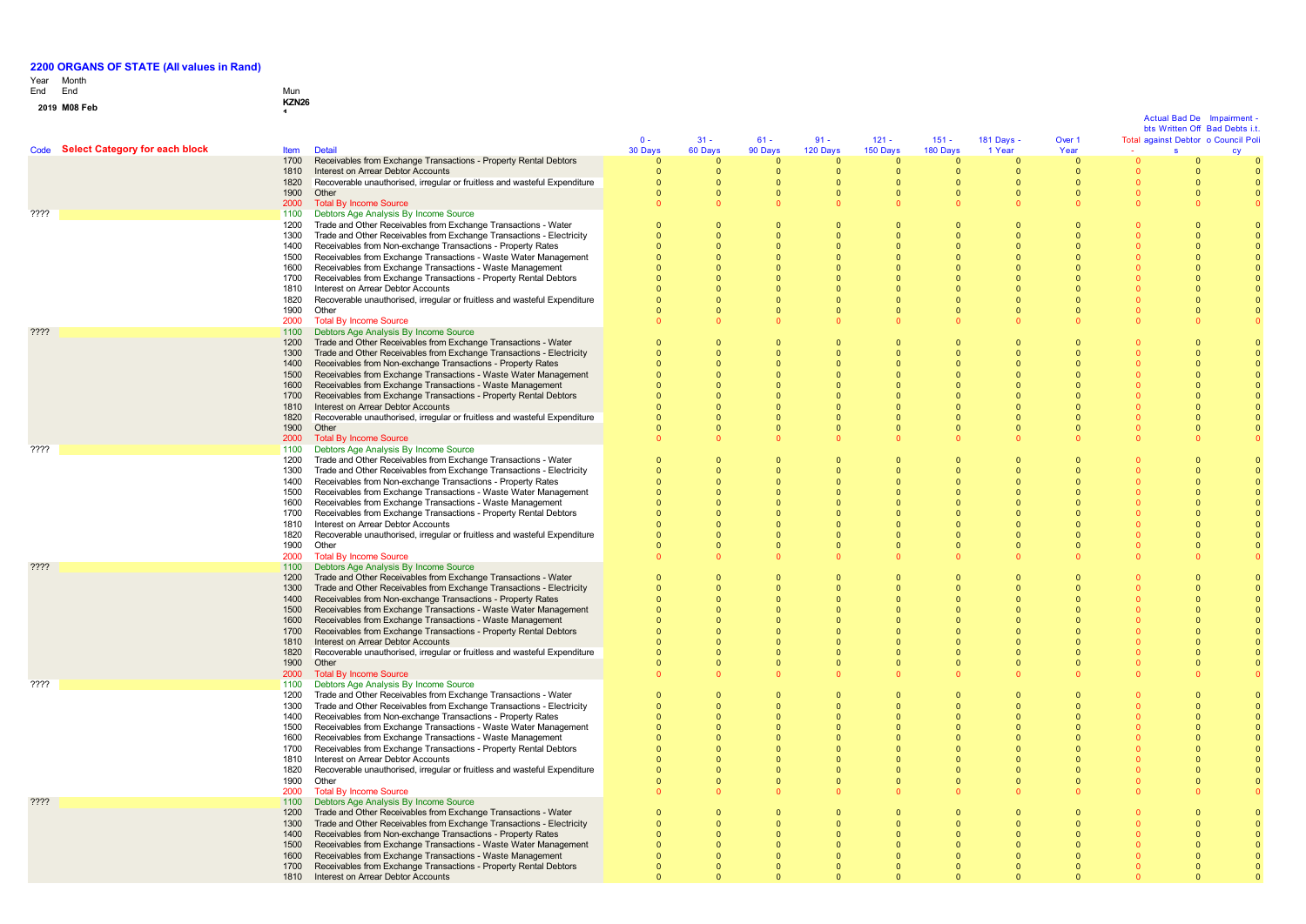# Year End Month End Mun

 $\mathbf{0}$ 

| 2019 M08 Feb | KZN <sub>26</sub>                                  |                                                                                                                                        |                                |                              |                                           |                              |                                  |                              |                                  |                                |                              |                                                                      |    |
|--------------|----------------------------------------------------|----------------------------------------------------------------------------------------------------------------------------------------|--------------------------------|------------------------------|-------------------------------------------|------------------------------|----------------------------------|------------------------------|----------------------------------|--------------------------------|------------------------------|----------------------------------------------------------------------|----|
|              |                                                    |                                                                                                                                        |                                |                              |                                           |                              |                                  |                              |                                  |                                |                              | <b>Actual Bad De Impairment</b>                                      |    |
|              |                                                    |                                                                                                                                        | $0 -$                          | $31 -$                       | $61 -$                                    | $91 -$                       | $121 -$                          | $151 -$                      |                                  | Over 1                         |                              | bts Written Off Bad Debts i.t.<br>Total against Debtor o Council Pol |    |
|              | Code Select Category for each block<br><b>Item</b> | <b>Detail</b>                                                                                                                          | 30 Days                        | 60 Days                      | 90 Days                                   | 120 Days                     | 150 Days                         | 180 Days                     | 181 Days -<br>1 Year             | Year                           |                              | s                                                                    | cy |
|              | 1700                                               | Receivables from Exchange Transactions - Property Rental Debtors                                                                       | $\overline{0}$                 | $\mathbf{0}$                 | $\overline{0}$                            | $\mathbf{0}$                 | $\overline{0}$                   | $\mathbf{0}$                 | $\overline{0}$                   | $\mathbf{0}$                   |                              |                                                                      |    |
|              | 1810                                               | Interest on Arrear Debtor Accounts                                                                                                     | $\overline{\mathbf{0}}$        | $\overline{0}$               | $\overline{\mathbf{0}}$                   | $\Omega$                     | $\overline{0}$                   | $\overline{0}$               | $\overline{0}$                   | $\Omega$                       | $\Omega$                     | $\Omega$                                                             |    |
|              | 1820<br>1900                                       | Recoverable unauthorised, irregular or fruitless and wasteful Expenditure<br>Other                                                     | $\mathbf{0}$<br>$\overline{0}$ | $\mathbf{0}$<br>$\mathbf{0}$ | $\overline{\mathbf{0}}$<br>$\overline{0}$ | $\mathbf{0}$<br>$\mathbf{0}$ | $\overline{0}$<br>$\overline{0}$ | $\mathbf{0}$<br>$\mathbf{0}$ | $\overline{0}$<br>$\overline{0}$ | $\mathbf{0}$<br>$\overline{0}$ | $\mathbf{0}$<br>$\mathbf{0}$ | $\overline{0}$<br>$\overline{0}$                                     |    |
|              | 2000                                               | <b>Total By Income Source</b>                                                                                                          | $\Omega$                       | $\Omega$                     |                                           |                              |                                  | $\Omega$                     |                                  |                                |                              |                                                                      |    |
| ????         | 1100                                               | Debtors Age Analysis By Income Source                                                                                                  |                                |                              |                                           |                              |                                  |                              |                                  |                                |                              |                                                                      |    |
|              | 1200                                               | Trade and Other Receivables from Exchange Transactions - Water                                                                         | $\Omega$                       | $\Omega$                     | $\Omega$                                  | $\Omega$                     | $\Omega$                         | $\Omega$                     | $\Omega$                         |                                |                              |                                                                      |    |
|              | 1300                                               | Trade and Other Receivables from Exchange Transactions - Electricity                                                                   | $\Omega$                       | $\Omega$                     | $\Omega$                                  | n                            | $\Omega$                         | $\Omega$                     | $\Omega$                         |                                |                              | - 0                                                                  |    |
|              | 1400                                               | Receivables from Non-exchange Transactions - Property Rates                                                                            | $\Omega$<br>$\Omega$           | $\Omega$<br>$\Omega$         | $\Omega$<br>$\Omega$                      | n                            | $\Omega$<br>$\Omega$             | $\Omega$                     | $\Omega$<br>$\Omega$             |                                |                              | - 0                                                                  |    |
|              | 1500<br>1600                                       | Receivables from Exchange Transactions - Waste Water Management<br>Receivables from Exchange Transactions - Waste Management           | $\Omega$                       | $\Omega$                     | $\Omega$                                  |                              | $\Omega$                         | $\mathbf{0}$<br>$\Omega$     | $\Omega$                         |                                |                              |                                                                      |    |
|              | 1700                                               | Receivables from Exchange Transactions - Property Rental Debtors                                                                       | $\Omega$                       | $\Omega$                     | $\Omega$                                  |                              | $\Omega$                         | $\mathbf{0}$                 | $\Omega$                         | $\Omega$                       |                              |                                                                      |    |
|              | 1810                                               | Interest on Arrear Debtor Accounts                                                                                                     | $\Omega$                       | $\mathbf{0}$                 | $\overline{0}$                            |                              |                                  | $\mathbf{0}$                 | $\Omega$                         |                                |                              |                                                                      |    |
|              | 1820                                               | Recoverable unauthorised, irregular or fruitless and wasteful Expenditure                                                              |                                | $\Omega$                     | $\Omega$                                  |                              |                                  | $\mathbf{0}$                 | $\Omega$                         |                                |                              |                                                                      |    |
|              | 1900                                               | Other                                                                                                                                  | $\Omega$                       | $\Omega$<br>$\Omega$         | $\Omega$<br>$\Omega$                      |                              |                                  | $\mathbf{0}$<br>$\Omega$     | $\Omega$<br>$\Omega$             | $\Omega$                       | $\Omega$                     |                                                                      |    |
| ????         | 2000<br>1100                                       | <b>Total By Income Source</b><br>Debtors Age Analysis By Income Source                                                                 | n                              |                              |                                           |                              |                                  |                              |                                  |                                |                              |                                                                      |    |
|              | 1200                                               | Trade and Other Receivables from Exchange Transactions - Water                                                                         | $\overline{0}$                 | $\Omega$                     | $\Omega$                                  | $\Omega$                     | $\Omega$                         | $\Omega$                     | $\Omega$                         | $\Omega$                       |                              | - 0                                                                  |    |
|              | 1300                                               | Trade and Other Receivables from Exchange Transactions - Electricity                                                                   | $\Omega$                       | $\Omega$                     | $\Omega$                                  | $\Omega$                     | $\Omega$                         | $\Omega$                     | $\Omega$                         | $\Omega$                       |                              | $\Omega$                                                             |    |
|              | 1400                                               | Receivables from Non-exchange Transactions - Property Rates                                                                            | $\Omega$                       | $\Omega$                     | $\Omega$                                  |                              | $\Omega$                         | $\Omega$                     | $\Omega$                         |                                |                              |                                                                      |    |
|              | 1500                                               | Receivables from Exchange Transactions - Waste Water Management                                                                        | $\Omega$                       | $\Omega$                     | $\Omega$                                  |                              | $\Omega$                         | $\Omega$                     | $\Omega$                         |                                |                              |                                                                      |    |
|              | 1600<br>1700                                       | Receivables from Exchange Transactions - Waste Management<br>Receivables from Exchange Transactions - Property Rental Debtors          |                                | $\Omega$<br>$\Omega$         | $\Omega$<br>$\Omega$                      |                              | $\Omega$                         | $\Omega$<br>$\Omega$         | $\Omega$                         | $\Omega$                       |                              |                                                                      |    |
|              | 1810                                               | Interest on Arrear Debtor Accounts                                                                                                     |                                | $\Omega$                     | $\Omega$                                  |                              |                                  | $\Omega$                     |                                  |                                |                              |                                                                      |    |
|              | 1820                                               | Recoverable unauthorised, irregular or fruitless and wasteful Expenditure                                                              |                                | $\Omega$                     | $\Omega$                                  |                              |                                  | $\Omega$                     | $\Omega$                         | $\Omega$                       |                              |                                                                      |    |
|              | 1900                                               | Other                                                                                                                                  |                                | $\Omega$                     | $\Omega$                                  |                              | $\Omega$                         | $\Omega$                     | $\Omega$                         | $\Omega$                       |                              |                                                                      |    |
|              | 2000                                               | <b>Total By Income Source</b>                                                                                                          |                                | $\Omega$                     |                                           |                              |                                  |                              |                                  |                                |                              |                                                                      |    |
| ????         | 1100<br>1200                                       | Debtors Age Analysis By Income Source                                                                                                  | $\Omega$                       | $\Omega$                     | $\Omega$                                  | $\Omega$                     | $\Omega$                         | $\Omega$                     | $\Omega$                         | $\Omega$                       |                              |                                                                      |    |
|              | 1300                                               | Trade and Other Receivables from Exchange Transactions - Water<br>Trade and Other Receivables from Exchange Transactions - Electricity | $\Omega$                       | $\Omega$                     | $\Omega$                                  | $\Omega$                     | $\Omega$                         | $\Omega$                     | $\Omega$                         | $\Omega$                       |                              | $\Omega$                                                             |    |
|              | 1400                                               | Receivables from Non-exchange Transactions - Property Rates                                                                            | $\Omega$                       | $\Omega$                     | $\Omega$                                  |                              | $\Omega$                         | $\Omega$                     | $\Omega$                         | $\Omega$                       |                              | $\Omega$                                                             |    |
|              | 1500                                               | Receivables from Exchange Transactions - Waste Water Management                                                                        | $\Omega$                       | $\Omega$                     | $\Omega$                                  | $\Omega$                     | $\Omega$                         | $\Omega$                     | $\Omega$                         | $\Omega$                       |                              | $\Omega$                                                             |    |
|              | 1600                                               | Receivables from Exchange Transactions - Waste Management                                                                              | $\Omega$                       | $\Omega$                     | $\Omega$                                  | $\Omega$                     | $\Omega$                         | $\Omega$                     | $\Omega$                         | $\Omega$                       |                              | $\Omega$                                                             |    |
|              | 1700                                               | Receivables from Exchange Transactions - Property Rental Debtors                                                                       | $\Omega$                       | $\Omega$<br>$\Omega$         | $\Omega$<br>$\Omega$                      |                              |                                  | $\Omega$<br>$\Omega$         | $\Omega$                         |                                |                              |                                                                      |    |
|              | 1810<br>1820                                       | Interest on Arrear Debtor Accounts<br>Recoverable unauthorised, irregular or fruitless and wasteful Expenditure                        | $\Omega$                       | $\Omega$                     | $\Omega$                                  | $\Omega$                     | $\Omega$                         | $\Omega$                     | $\Omega$<br>$\Omega$             | $\Omega$                       | $\Omega$                     | $\Omega$                                                             |    |
|              | 1900                                               | Other                                                                                                                                  | $\Omega$                       | $\Omega$                     | $\Omega$                                  | $\Omega$                     | $\Omega$                         | $\Omega$                     | $\Omega$                         | $\Omega$                       | $\Omega$                     | $\Omega$                                                             |    |
|              | 2000                                               | <b>Total By Income Source</b>                                                                                                          | $\Omega$                       | $\Omega$                     | $\Omega$                                  |                              |                                  | $\Omega$                     | $\Omega$                         |                                | $\Omega$                     |                                                                      |    |
| 7777         | 1100                                               | Debtors Age Analysis By Income Source                                                                                                  |                                |                              |                                           |                              |                                  |                              |                                  |                                |                              |                                                                      |    |
|              | 1200<br>1300                                       | Trade and Other Receivables from Exchange Transactions - Water<br>Trade and Other Receivables from Exchange Transactions - Electricity | $\Omega$<br>$\Omega$           | $\Omega$<br>$\Omega$         | $\Omega$<br>$\Omega$                      | $\Omega$<br>$\Omega$         | $\Omega$<br>$\Omega$             | $\Omega$<br>$\mathbf{0}$     | $\Omega$<br>$\Omega$             | $\Omega$                       |                              | $\Omega$<br>$\Omega$                                                 |    |
|              | 1400                                               | Receivables from Non-exchange Transactions - Property Rates                                                                            | $\bullet$                      | $\Omega$                     | $\Omega$                                  | $\Omega$                     | $\Omega$                         | $\Omega$                     | $\Omega$                         |                                |                              | $\Omega$                                                             |    |
|              | 1500                                               | Receivables from Exchange Transactions - Waste Water Management                                                                        | $\Omega$                       | $\mathbf{0}$                 | $\Omega$                                  | $\Omega$                     | $\Omega$                         | $\mathbf{0}$                 | $\Omega$                         |                                |                              |                                                                      |    |
|              | 1600                                               | Receivables from Exchange Transactions - Waste Management                                                                              |                                | $\Omega$                     | $\Omega$                                  |                              | $\Omega$                         | $\Omega$                     | $\Omega$                         |                                |                              |                                                                      |    |
|              | 1700                                               | Receivables from Exchange Transactions - Property Rental Debtors                                                                       |                                | $\Omega$                     | $\Omega$                                  |                              |                                  | $\Omega$                     | $\Omega$                         |                                |                              |                                                                      |    |
|              | 1810<br>1820                                       | Interest on Arrear Debtor Accounts<br>Recoverable unauthorised, irregular or fruitless and wasteful Expenditure                        | $\Omega$                       | $\Omega$<br>$\Omega$         | $\Omega$<br>$\Omega$                      | $\Omega$                     | $\Omega$                         | $\Omega$<br>$\Omega$         | $\Omega$<br>$\Omega$             | $\Omega$                       | $\Omega$                     | $\Omega$                                                             |    |
|              | 1900                                               | Other                                                                                                                                  | $\Omega$                       | $\Omega$                     | $\Omega$                                  | $\Omega$                     | $\Omega$                         | $\Omega$                     | $\Omega$                         | $\Omega$                       | $\Omega$                     | $\Omega$                                                             |    |
|              | 2000                                               | <b>Total By Income Source</b>                                                                                                          | $\Omega$                       | $\Omega$                     | $\Omega$                                  |                              |                                  | $\Omega$                     | $\Omega$                         |                                | $\Omega$                     |                                                                      |    |
| ????         | 1100                                               | Debtors Age Analysis By Income Source                                                                                                  |                                |                              |                                           |                              |                                  |                              |                                  |                                |                              |                                                                      |    |
|              | 1200                                               | Trade and Other Receivables from Exchange Transactions - Water                                                                         | $\overline{0}$                 | $\Omega$                     | $\Omega$                                  | $\Omega$                     | $\Omega$                         | $\Omega$                     | $\Omega$                         | $\Omega$                       |                              | $\Omega$                                                             |    |
|              | 1300                                               | Trade and Other Receivables from Exchange Transactions - Electricity                                                                   | $\Omega$                       | $\Omega$                     | $\Omega$                                  | $\Omega$<br>$\Omega$         | $\Omega$                         | $\mathbf{0}$                 | $\Omega$                         |                                |                              | $\Omega$<br>$\Omega$                                                 |    |
|              | 1400<br>1500                                       | Receivables from Non-exchange Transactions - Property Rates<br>Receivables from Exchange Transactions - Waste Water Management         | $\Omega$<br>$\Omega$           | $\Omega$<br>$\Omega$         | $\Omega$<br>$\Omega$                      | $\Omega$                     | $\Omega$<br>$\Omega$             | $\mathbf{0}$<br>$\mathbf{0}$ | $\Omega$<br>$\Omega$             | $\Omega$                       |                              | $\Omega$                                                             |    |
|              | 1600                                               | Receivables from Exchange Transactions - Waste Management                                                                              | $\Omega$                       | $\Omega$                     | $\Omega$                                  |                              | $\Omega$                         | $\mathbf{0}$                 | $\Omega$                         |                                |                              |                                                                      |    |
|              | 1700                                               | Receivables from Exchange Transactions - Property Rental Debtors                                                                       | $\Omega$                       | $\Omega$                     | $\Omega$                                  |                              |                                  | $\mathbf{0}$                 | $\Omega$                         |                                |                              |                                                                      |    |
|              | 1810                                               | Interest on Arrear Debtor Accounts                                                                                                     | $\Omega$                       | $\Omega$                     | $\Omega$                                  | $\Omega$                     | $\Omega$                         | $\Omega$                     | $\Omega$                         | $\Omega$                       |                              |                                                                      |    |
|              | 1820                                               | Recoverable unauthorised, irregular or fruitless and wasteful Expenditure                                                              | $\Omega$                       | $\overline{0}$               | $\Omega$                                  | $\Omega$                     | $\Omega$                         | $\mathbf{0}$                 | $\Omega$                         | $\Omega$                       | $\Omega$                     |                                                                      |    |
|              | 1900<br>2000                                       | Other<br><b>Total By Income Source</b>                                                                                                 | $\Omega$                       | $\Omega$<br>$\Omega$         | $\Omega$<br>$\Omega$                      | $\Omega$                     | $\Omega$                         | $\Omega$<br>$\Omega$         | $\Omega$<br>$\Omega$             | $\Omega$                       | $\Omega$<br>$\Omega$         | $\Omega$                                                             |    |
| ????         | 1100                                               | Debtors Age Analysis By Income Source                                                                                                  |                                |                              |                                           |                              |                                  |                              |                                  |                                |                              |                                                                      |    |
|              | 1200                                               | Trade and Other Receivables from Exchange Transactions - Water                                                                         | $\Omega$                       | $\mathbf{0}$                 | $\overline{0}$                            |                              | $\Omega$                         | $\overline{0}$               | $\Omega$                         | $\Omega$                       |                              |                                                                      |    |
|              | 1300                                               | Trade and Other Receivables from Exchange Transactions - Electricity                                                                   |                                | $\mathbf{0}$                 | $\overline{0}$                            |                              | $\Omega$                         | $\mathbf{0}$                 | $\Omega$                         | $\Omega$                       |                              |                                                                      |    |
|              | 1400                                               | Receivables from Non-exchange Transactions - Property Rates                                                                            |                                | $\mathbf{0}$                 | $\Omega$                                  |                              | $\Omega$                         | $\mathbf{0}$                 | $\Omega$                         |                                |                              |                                                                      |    |
|              | 1500<br>1600                                       | Receivables from Exchange Transactions - Waste Water Management<br>Receivables from Exchange Transactions - Waste Management           |                                | $\Omega$<br>$\Omega$         | $\Omega$<br>$\Omega$                      |                              | $\Omega$<br>$\Omega$             | $\mathbf{0}$<br>$\mathbf{0}$ | $\Omega$<br>$\overline{0}$       | $\Omega$                       |                              |                                                                      |    |
|              | 1700                                               | Receivables from Exchange Transactions - Property Rental Debtors                                                                       |                                | $\Omega$                     | $\Omega$                                  |                              |                                  | $\Omega$                     | $\Omega$                         |                                |                              |                                                                      |    |
|              | 1810                                               | Interest on Arrear Debtor Accounts                                                                                                     |                                | $\Omega$                     |                                           |                              |                                  | $\Omega$                     |                                  |                                |                              |                                                                      |    |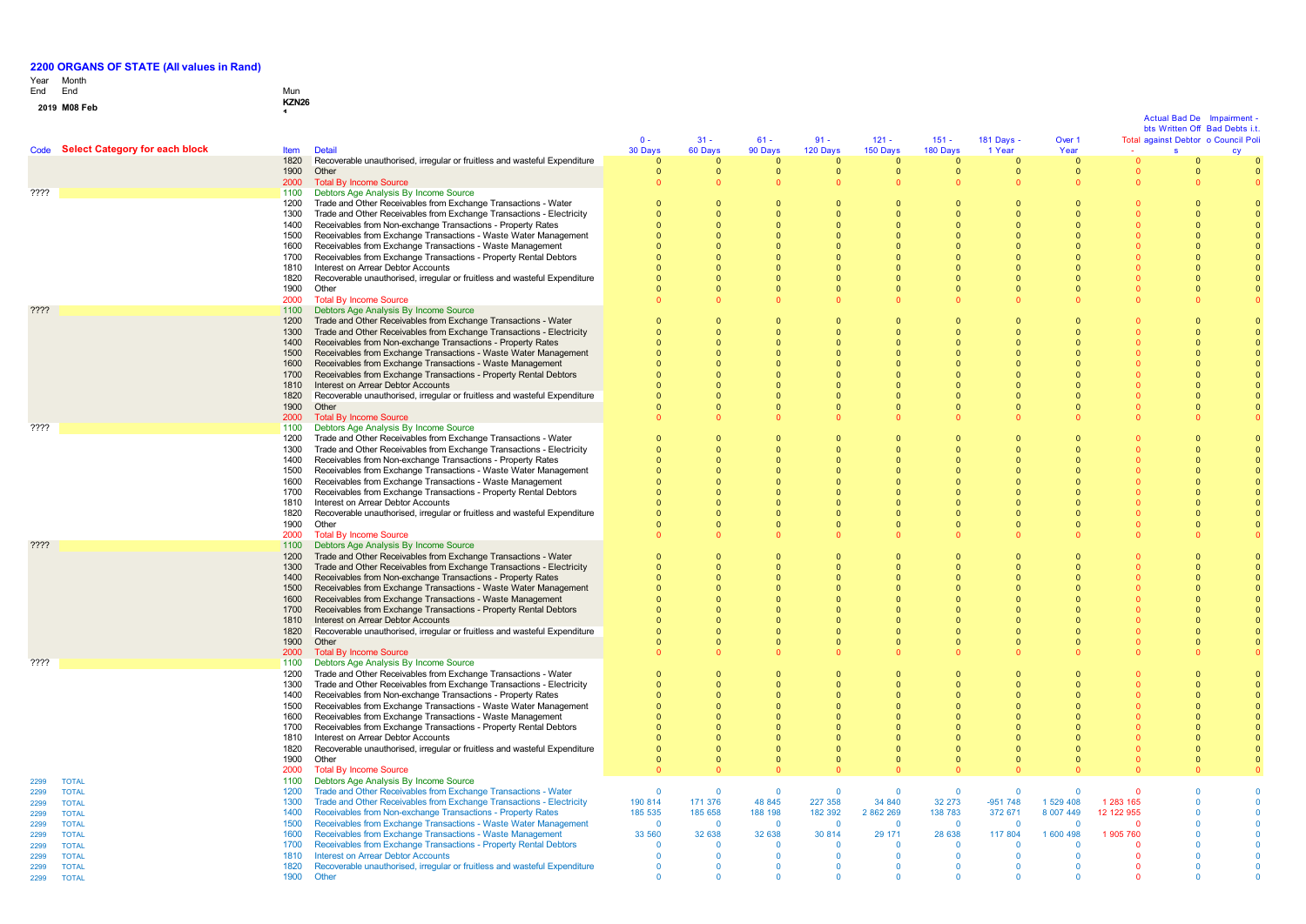# Year End Month End Mun **0 1 <sup>9</sup> M08 Feb KZN26 <sup>1</sup>**

|              |                                     |              |                                                                                                                               | $0 -$              | $31 -$             | $61 -$                  | $91 -$             | $121 -$                  | $151 -$                  | 181 Days -               | Over 1                              |            | <b>Actual Bad De</b> | Impairment<br>bts Written Off Bad Debts i.t.<br>Total against Debtor o Council Poli |
|--------------|-------------------------------------|--------------|-------------------------------------------------------------------------------------------------------------------------------|--------------------|--------------------|-------------------------|--------------------|--------------------------|--------------------------|--------------------------|-------------------------------------|------------|----------------------|-------------------------------------------------------------------------------------|
|              | Code Select Category for each block | <b>Item</b>  | <b>Detail</b>                                                                                                                 | 30 Days            | 60 Days            | 90 Days                 | 120 Days           | 150 Days                 | 180 Days                 | 1 Year                   | Year                                |            | $\mathbf{s}$         |                                                                                     |
|              |                                     | 1820         | Recoverable unauthorised, irregular or fruitless and wasteful Expenditure                                                     | $\Omega$           | $\Omega$           | $\Omega$                | $\Omega$           | $\Omega$                 | $\Omega$                 | $\overline{0}$           | $\overline{0}$                      |            | $\Omega$             |                                                                                     |
|              |                                     | 1900<br>2000 | Other<br><b>Total By Income Source</b>                                                                                        | $\mathbf{0}$       | $\mathbf{0}$       | $\mathbf 0$<br>$\Omega$ | $\mathbf{0}$       | $\mathbf{0}$<br>$\Omega$ | $\mathbf{0}$<br>$\Omega$ | $\mathbf{0}$<br>$\Omega$ | $\overline{\mathbf{0}}$<br>$\Omega$ |            | $\mathbf 0$          |                                                                                     |
| ????         |                                     | 1100         | Debtors Age Analysis By Income Source                                                                                         |                    |                    |                         |                    |                          |                          |                          |                                     |            |                      |                                                                                     |
|              |                                     | 1200         | Trade and Other Receivables from Exchange Transactions - Water                                                                | $\Omega$           | $\Omega$           | $\Omega$                |                    | $\Omega$                 | $\Omega$                 | $\Omega$                 | $\Omega$                            |            |                      |                                                                                     |
|              |                                     | 1300         | Trade and Other Receivables from Exchange Transactions - Electricity                                                          |                    | $\Omega$           |                         |                    | $\Omega$                 |                          | $\Omega$                 | $\Omega$                            |            |                      |                                                                                     |
|              |                                     | 1400         | Receivables from Non-exchange Transactions - Property Rates                                                                   |                    |                    |                         |                    | $\Omega$                 |                          | $\Omega$                 |                                     |            |                      |                                                                                     |
|              |                                     | 1500<br>1600 | Receivables from Exchange Transactions - Waste Water Management<br>Receivables from Exchange Transactions - Waste Management  |                    |                    | $\Omega$                |                    | $\Omega$<br>$\Omega$     |                          | $\Omega$<br>$\Omega$     | $\Omega$                            |            |                      |                                                                                     |
|              |                                     | 1700         | Receivables from Exchange Transactions - Property Rental Debtors                                                              |                    |                    |                         |                    | $\Omega$                 |                          | $\Omega$                 | $\Omega$                            |            |                      |                                                                                     |
|              |                                     | 1810         | Interest on Arrear Debtor Accounts                                                                                            |                    |                    |                         |                    | $\Omega$                 |                          | $\Omega$                 | n                                   |            |                      |                                                                                     |
|              |                                     | 1820         | Recoverable unauthorised, irregular or fruitless and wasteful Expenditure                                                     |                    | $\Omega$           | $\Omega$                |                    | $\Omega$                 | $\Omega$                 | $\Omega$                 | $\Omega$                            |            |                      |                                                                                     |
|              |                                     | 1900<br>2000 | Other                                                                                                                         |                    | $\Omega$           | $\Omega$                | $\Omega$           | $\Omega$                 | $\Omega$                 | $\Omega$<br>$\Omega$     | $\Omega$                            |            |                      |                                                                                     |
| ????         |                                     | 1100         | <b>Total By Income Source</b><br>Debtors Age Analysis By Income Source                                                        |                    |                    |                         |                    |                          |                          |                          |                                     |            |                      |                                                                                     |
|              |                                     | 1200         | Trade and Other Receivables from Exchange Transactions - Water                                                                | $\Omega$           | $\Omega$           | $\Omega$                |                    | $\Omega$                 | $\Omega$                 | $\Omega$                 | $\sqrt{ }$                          |            | $\Omega$             |                                                                                     |
|              |                                     | 1300         | Trade and Other Receivables from Exchange Transactions - Electricity                                                          | $\Omega$           | $\Omega$           | $\Omega$                | $\Omega$           | $\Omega$                 | $\Omega$                 | $\Omega$                 | $\Omega$                            |            | $\Omega$             |                                                                                     |
|              |                                     | 1400         | Receivables from Non-exchange Transactions - Property Rates                                                                   |                    |                    |                         |                    |                          | $\Omega$                 | $\Omega$                 |                                     |            |                      |                                                                                     |
|              |                                     | 1500<br>1600 | Receivables from Exchange Transactions - Waste Water Management<br>Receivables from Exchange Transactions - Waste Management  |                    | $\Omega$           | n                       |                    | $\Omega$<br>$\Omega$     | $\Omega$<br>$\Omega$     | $\Omega$<br>$\Omega$     | $\Omega$                            |            |                      |                                                                                     |
|              |                                     | 1700         | Receivables from Exchange Transactions - Property Rental Debtors                                                              |                    | $\Omega$           |                         |                    | $\Omega$                 |                          | $\Omega$                 | $\Omega$                            |            |                      |                                                                                     |
|              |                                     | 1810         | Interest on Arrear Debtor Accounts                                                                                            |                    | $\Omega$           |                         |                    | $\Omega$                 |                          | $\Omega$                 | $\Omega$                            |            |                      |                                                                                     |
|              |                                     | 1820         | Recoverable unauthorised, irregular or fruitless and wasteful Expenditure                                                     |                    |                    |                         |                    | $\Omega$                 |                          | $\Omega$                 | $\Omega$                            |            |                      |                                                                                     |
|              |                                     | 1900         | Other                                                                                                                         |                    | $\Omega$           |                         |                    | $\Omega$                 | $\Omega$                 | $\Omega$                 | $\Omega$                            |            |                      |                                                                                     |
| ????         |                                     | 2000<br>1100 | <b>Total By Income Source</b><br>Debtors Age Analysis By Income Source                                                        |                    |                    |                         |                    |                          |                          |                          |                                     |            |                      |                                                                                     |
|              |                                     | 1200         | Trade and Other Receivables from Exchange Transactions - Water                                                                | $\Omega$           | $\Omega$           | $\Omega$                |                    | $\Omega$                 | $\Omega$                 | $\Omega$                 | $\Omega$                            |            |                      |                                                                                     |
|              |                                     | 1300         | Trade and Other Receivables from Exchange Transactions - Electricity                                                          |                    | $\Omega$           | $\Omega$                |                    | $\Omega$                 | $\Omega$                 | $\Omega$                 | $\sqrt{ }$                          |            | $\Omega$             |                                                                                     |
|              |                                     | 1400         | Receivables from Non-exchange Transactions - Property Rates                                                                   |                    |                    |                         |                    |                          |                          | $\Omega$                 |                                     |            |                      |                                                                                     |
|              |                                     | 1500         | Receivables from Exchange Transactions - Waste Water Management                                                               |                    |                    |                         |                    | $\Omega$<br>$\Omega$     |                          | $\Omega$<br>$\Omega$     | $\Omega$                            |            |                      |                                                                                     |
|              |                                     | 1600<br>1700 | Receivables from Exchange Transactions - Waste Management<br>Receivables from Exchange Transactions - Property Rental Debtors |                    |                    | $\Omega$                |                    | $\Omega$                 |                          | $\Omega$                 | $\Omega$                            |            |                      |                                                                                     |
|              |                                     | 1810         | Interest on Arrear Debtor Accounts                                                                                            |                    |                    | $\Omega$                |                    | $\Omega$                 |                          | $\mathbf{0}$             | $\Omega$                            |            |                      |                                                                                     |
|              |                                     | 1820         | Recoverable unauthorised, irregular or fruitless and wasteful Expenditure                                                     |                    |                    |                         |                    |                          |                          | $\Omega$                 |                                     |            |                      |                                                                                     |
|              |                                     | 1900         | Other                                                                                                                         |                    | $\Omega$           | $\Omega$                |                    | $\Omega$                 | $\Omega$                 | $\Omega$                 | $\Omega$                            |            |                      |                                                                                     |
| ????         |                                     | 2000<br>1100 | <b>Total By Income Source</b><br>Debtors Age Analysis By Income Source                                                        |                    |                    |                         |                    |                          |                          | $\Omega$                 |                                     |            |                      |                                                                                     |
|              |                                     | 1200         | Trade and Other Receivables from Exchange Transactions - Water                                                                | $\Omega$           | $\Omega$           | $\Omega$                |                    | $\Omega$                 | $\Omega$                 | $\Omega$                 | $\Omega$                            |            | $\Omega$             |                                                                                     |
|              |                                     | 1300         | Trade and Other Receivables from Exchange Transactions - Electricity                                                          | $\Omega$           |                    |                         |                    | $\Omega$                 | $\mathbf 0$              | $\Omega$                 |                                     |            |                      |                                                                                     |
|              |                                     | 1400         | Receivables from Non-exchange Transactions - Property Rates                                                                   |                    |                    |                         |                    |                          |                          |                          |                                     |            |                      |                                                                                     |
|              |                                     | 1500         | Receivables from Exchange Transactions - Waste Water Management                                                               |                    |                    |                         |                    | $\Omega$                 | $\Omega$                 | $\Omega$                 |                                     |            |                      |                                                                                     |
|              |                                     | 1600<br>1700 | Receivables from Exchange Transactions - Waste Management<br>Receivables from Exchange Transactions - Property Rental Debtors |                    | $\Omega$           |                         |                    | $\Omega$<br>$\Omega$     |                          | $\Omega$<br>$\Omega$     | $\Omega$<br>$\Omega$                |            |                      |                                                                                     |
|              |                                     | 1810         | Interest on Arrear Debtor Accounts                                                                                            |                    |                    |                         |                    | $\Omega$                 |                          | $\Omega$                 | $\Omega$                            |            |                      |                                                                                     |
|              |                                     | 1820         | Recoverable unauthorised, irregular or fruitless and wasteful Expenditure                                                     |                    |                    |                         |                    | $\Omega$                 |                          | $\Omega$                 |                                     |            |                      |                                                                                     |
|              |                                     | 1900         | Other                                                                                                                         |                    | $\Omega$           |                         |                    | $\Omega$                 |                          | $\Omega$                 |                                     |            |                      |                                                                                     |
| ????         |                                     | 2000<br>1100 | <b>Total By Income Source</b><br>Debtors Age Analysis By Income Source                                                        |                    |                    |                         |                    |                          |                          | $\Omega$                 |                                     |            |                      |                                                                                     |
|              |                                     | 1200         | Trade and Other Receivables from Exchange Transactions - Water                                                                | $\Omega$           | $\Omega$           | $\Omega$                |                    | $\Omega$                 | $\Omega$                 | $\Omega$                 | $\Omega$                            |            |                      |                                                                                     |
|              |                                     | 1300         | Trade and Other Receivables from Exchange Transactions - Electricity                                                          |                    |                    |                         |                    | $\Omega$                 |                          | $\overline{0}$           |                                     |            |                      |                                                                                     |
|              |                                     | 1400         | Receivables from Non-exchange Transactions - Property Rates                                                                   |                    |                    |                         |                    |                          |                          | $\Omega$                 |                                     |            |                      |                                                                                     |
|              |                                     | 1500<br>1600 | Receivables from Exchange Transactions - Waste Water Management                                                               |                    |                    | $\Omega$                |                    | $\Omega$<br>$\Omega$     |                          | $\Omega$<br>$\Omega$     | $\Omega$<br>$\Omega$                |            |                      |                                                                                     |
|              |                                     | 1700         | Receivables from Exchange Transactions - Waste Management<br>Receivables from Exchange Transactions - Property Rental Debtors |                    |                    | $\Omega$                |                    | $\Omega$                 |                          | $\Omega$                 |                                     |            |                      |                                                                                     |
|              |                                     | 1810         | Interest on Arrear Debtor Accounts                                                                                            |                    |                    |                         |                    | $\Omega$                 | $\mathbf 0$              | $\Omega$                 |                                     |            |                      |                                                                                     |
|              |                                     | 1820         | Recoverable unauthorised, irregular or fruitless and wasteful Expenditure                                                     |                    |                    |                         |                    | $\Omega$                 | $\Omega$                 | $\Omega$                 | $\Omega$                            |            |                      |                                                                                     |
|              |                                     | 1900         | Other                                                                                                                         | $\Omega$           | $\Omega$           | $\Omega$                | $\Omega$           | $\Omega$                 | $\Omega$                 | $\Omega$                 | $\Omega$                            |            | $\Omega$             |                                                                                     |
|              |                                     | 2000<br>1100 | <b>Total By Income Source</b><br>Debtors Age Analysis By Income Source                                                        | - 0                |                    |                         |                    |                          | $\Omega$                 | $\Omega$                 |                                     |            |                      |                                                                                     |
| 2299<br>2299 | <b>TOTAL</b><br><b>TOTAL</b>        | 1200         | Trade and Other Receivables from Exchange Transactions - Water                                                                | $\Omega$           | $\Omega$           | $\Omega$                | $\Omega$           | $\Omega$                 | $\Omega$                 | $\Omega$                 | $\Omega$                            |            |                      |                                                                                     |
| 2299         | <b>TOTAL</b>                        | 1300         | Trade and Other Receivables from Exchange Transactions - Electricity                                                          | 190 814            | 171 376            | 48 845                  | 227 358            | 34 840                   | 32 273                   | $-951748$                | 1 529 408                           | 1 283 165  |                      |                                                                                     |
| 2299         | <b>TOTAL</b>                        | 1400         | Receivables from Non-exchange Transactions - Property Rates                                                                   | 185 535            | 185 658            | 188 198                 | 182 392            | 2 862 269                | 138 783                  | 372 671                  | 8 007 449                           | 12 122 955 |                      |                                                                                     |
| 2299         | <b>TOTAL</b>                        | 1500         | Receivables from Exchange Transactions - Waste Water Management                                                               | $\Omega$           | $\Omega$           | $\Omega$                | $\Omega$           | $\Omega$                 | $\overline{0}$           | $\Omega$                 | $\overline{0}$                      | $\Omega$   |                      |                                                                                     |
| 2299<br>2299 | <b>TOTAL</b><br><b>TOTAL</b>        | 1600<br>1700 | Receivables from Exchange Transactions - Waste Management<br>Receivables from Exchange Transactions - Property Rental Debtors | 33 560<br>$\Omega$ | 32 638<br>$\Omega$ | 32 638<br>$\Omega$      | 30 814<br>$\Omega$ | 29 171<br>$\Omega$       | 28 638<br>$\Omega$       | 117 804<br>$\Omega$      | 1 600 498<br>$\Omega$               | 1 905 760  |                      |                                                                                     |
| 2299         | <b>TOTAL</b>                        | 1810         | <b>Interest on Arrear Debtor Accounts</b>                                                                                     | $\Omega$           | $\Omega$           | $\Omega$                | $\mathbf{0}$       | $\mathbf 0$              | $\mathbf 0$              | $\Omega$                 | $\Omega$                            |            |                      |                                                                                     |
| 2299         | <b>TOTAL</b>                        | 1820         | Recoverable unauthorised, irregular or fruitless and wasteful Expenditure                                                     | $\Omega$           | $\Omega$           |                         | $\Omega$           | $\Omega$                 | $\Omega$                 |                          | $\Omega$                            |            |                      |                                                                                     |
| 2299         | <b>TOTAL</b>                        | 1900         | Other                                                                                                                         |                    |                    |                         |                    |                          |                          |                          |                                     |            |                      |                                                                                     |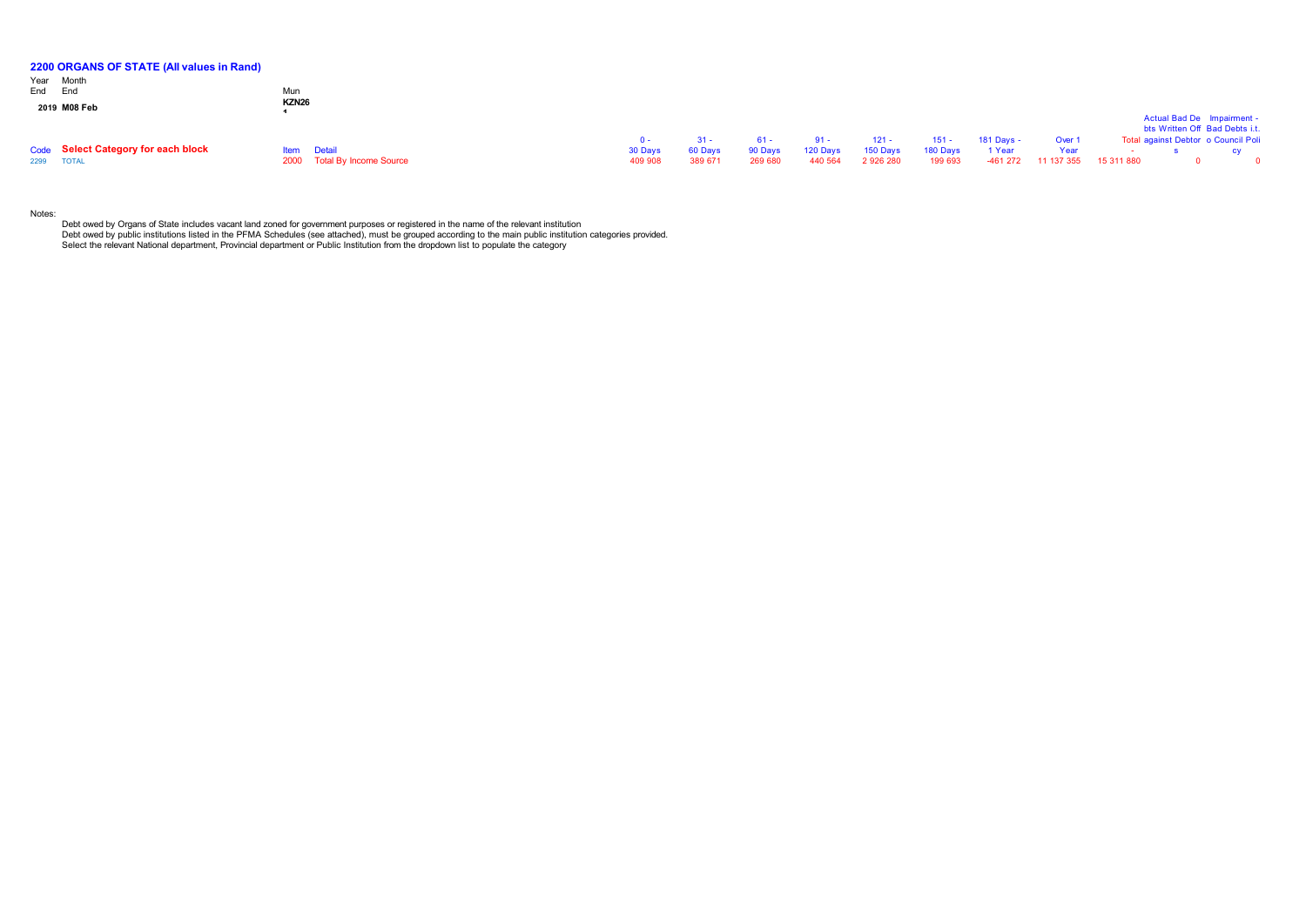| 2200 ORGANS OF STATE (All values in Rand) |              |                             |             |         |         |          |          |          |            |            |            |                                     |  |
|-------------------------------------------|--------------|-----------------------------|-------------|---------|---------|----------|----------|----------|------------|------------|------------|-------------------------------------|--|
| Year Month                                |              |                             |             |         |         |          |          |          |            |            |            |                                     |  |
| End End                                   | Mun          |                             |             |         |         |          |          |          |            |            |            |                                     |  |
| 2019 M08 Feb                              | <b>KZN26</b> |                             |             |         |         |          |          |          |            |            |            |                                     |  |
|                                           |              |                             |             |         |         |          |          |          |            |            |            | Actual Bad De Impairment -          |  |
|                                           |              |                             |             |         |         |          |          |          |            |            |            | bts Written Off Bad Debts i.t.      |  |
|                                           |              |                             | <u>n - </u> | $-31 -$ | 61 -    | $91 -$   | $121 -$  | $151 -$  | 181 Days - | Over 1     |            | Total against Debtor o Council Poli |  |
| Code Select Category for each block       |              | <b>Item</b> Detail          | 30 Days     | 60 Days | 90 Days | 120 Days | 150 Days | 180 Days | 1 Year     | Year       |            |                                     |  |
| 2299 TOTAL                                |              | 2000 Total By Income Source | 409 908     | 389 671 | 269 680 | 440 564  | 2926280  | 199 693  | $-461272$  | 11 137 355 | 15 311 880 |                                     |  |

Notes:

Debt owed by Organs of State includes vacant land zoned for government purposes or registered in the name of the relevant institution<br>Debt owed by public institutions listed in the PFMA Schedules (see attached), must be gr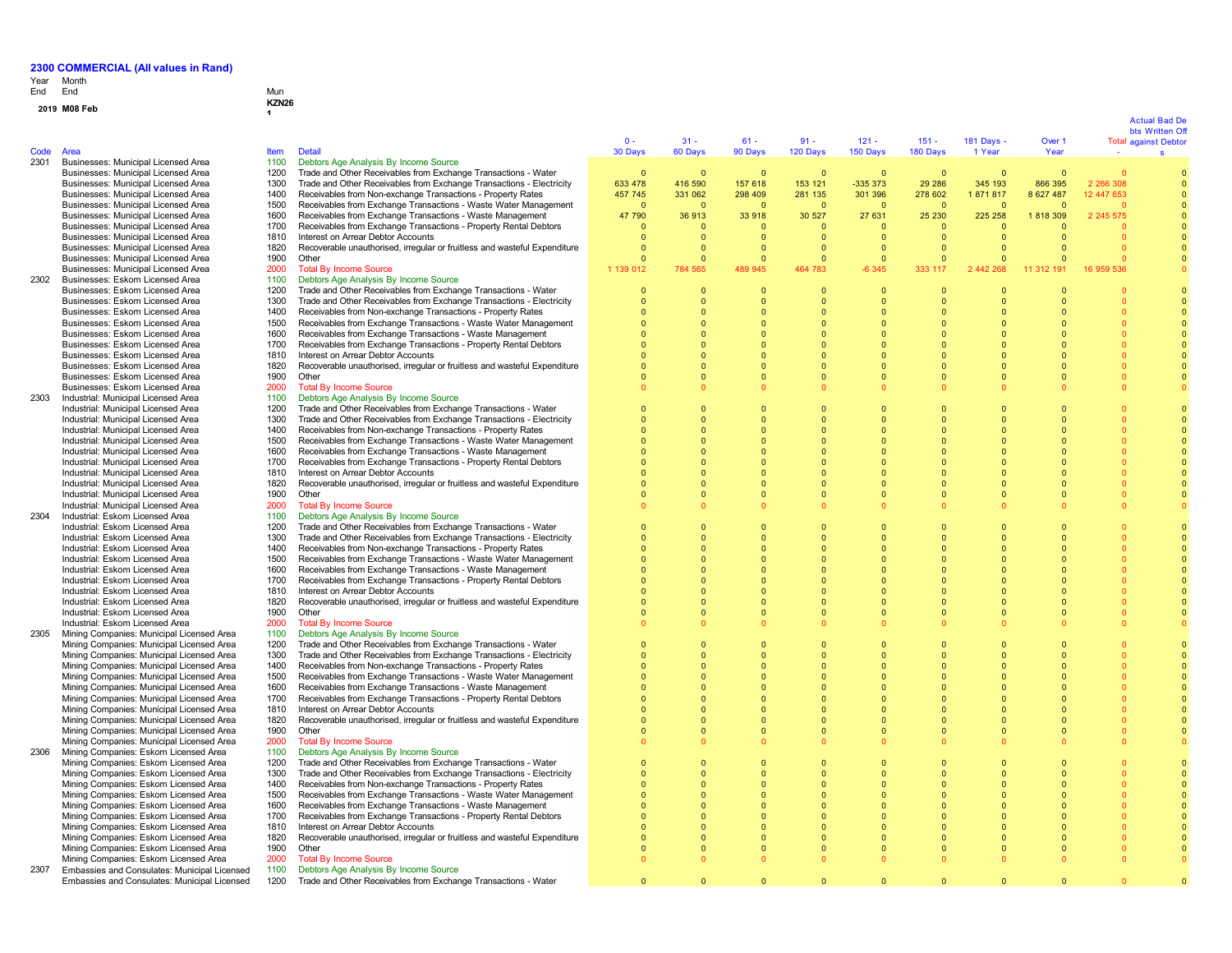# Year End Month End Mun

| -114 |                                                                                        | iviuli i<br><b>KZN26</b> |                                                                                                                                        |                      |                          |                      |                      |                      |                              |                      |                      |                      |                                               |
|------|----------------------------------------------------------------------------------------|--------------------------|----------------------------------------------------------------------------------------------------------------------------------------|----------------------|--------------------------|----------------------|----------------------|----------------------|------------------------------|----------------------|----------------------|----------------------|-----------------------------------------------|
|      | 2019 M08 Feb                                                                           |                          |                                                                                                                                        |                      |                          |                      |                      |                      |                              |                      |                      |                      |                                               |
|      |                                                                                        |                          |                                                                                                                                        |                      |                          |                      |                      |                      |                              |                      |                      |                      | <b>Actual Bad De</b>                          |
|      |                                                                                        |                          |                                                                                                                                        | $0 -$                | $31 -$                   | $61 -$               | $91 -$               | $121 -$              | $151 -$                      | 181 Days -           | Over 1               |                      | bts Written Of<br><b>Total against Debtor</b> |
| Code | Area                                                                                   | <b>Item</b>              | <b>Detail</b>                                                                                                                          | 30 Days              | 60 Days                  | 90 Days              | 120 Days             | 150 Days             | 180 Days                     | 1 Year               | Year                 |                      | s                                             |
| 2301 | Businesses: Municipal Licensed Area                                                    | 1100                     | Debtors Age Analysis By Income Source                                                                                                  |                      |                          |                      |                      |                      |                              |                      |                      |                      |                                               |
|      | Businesses: Municipal Licensed Area                                                    | 1200                     | Trade and Other Receivables from Exchange Transactions - Water                                                                         | $\Omega$             | $\Omega$                 | - 0                  | $\Omega$             | $\overline{0}$       | $\Omega$                     | $\Omega$             | $\Omega$             | $\Omega$             |                                               |
|      | Businesses: Municipal Licensed Area                                                    | 1300                     | Trade and Other Receivables from Exchange Transactions - Electricity                                                                   | 633 478              | 416 590                  | 157 618              | 153 121              | -335 373             | 29 28 6                      | 345 193              | 866 395              | 2 266 308            |                                               |
|      | Businesses: Municipal Licensed Area                                                    | 1400                     | Receivables from Non-exchange Transactions - Property Rates                                                                            | 457 745              | 331 062                  | 298 409              | 281 135              | 301 396              | 278 602                      | 1871817              | 8 627 487            | 12 447 653           |                                               |
|      | Businesses: Municipal Licensed Area                                                    | 1500                     | Receivables from Exchange Transactions - Waste Water Management                                                                        | $\Omega$             | $\Omega$                 | $\Omega$             | $\Omega$             | $\Omega$             | $\Omega$                     | $\Omega$             |                      |                      |                                               |
|      | Businesses: Municipal Licensed Area                                                    | 1600                     | Receivables from Exchange Transactions - Waste Management                                                                              | 47 790               | 36 913                   | 33 918               | 30 527               | 27 631               | 25 230                       | 225 258              | 1818309              | 2 2 4 5 5 7 5        |                                               |
|      | Businesses: Municipal Licensed Area                                                    | 1700                     | Receivables from Exchange Transactions - Property Rental Debtors                                                                       | $\mathbf{0}$         | $\mathbf{0}$             | $\Omega$             | $\mathbf 0$          | $\overline{0}$       | $\mathbf{0}$                 | $\Omega$             |                      |                      |                                               |
|      | Businesses: Municipal Licensed Area                                                    | 1810<br>1820             | Interest on Arrear Debtor Accounts<br>Recoverable unauthorised, irregular or fruitless and wasteful Expenditure                        | $\Omega$<br>$\Omega$ | $\mathbf{0}$<br>$\Omega$ | $\Omega$<br>$\Omega$ | $\Omega$<br>$\Omega$ | $\Omega$<br>$\Omega$ | $\mathbf{0}$<br>$\mathbf{0}$ | $\Omega$<br>$\Omega$ | $\Omega$<br>$\Omega$ |                      |                                               |
|      | Businesses: Municipal Licensed Area<br>Businesses: Municipal Licensed Area             | 1900                     | Other                                                                                                                                  | $\Omega$             | $\Omega$                 | $\Omega$             | $\Omega$             | $\Omega$             | $\Omega$                     | $\Omega$             |                      |                      |                                               |
|      | Businesses: Municipal Licensed Area                                                    | 2000                     | <b>Total By Income Source</b>                                                                                                          | 1 139 012            | 784 565                  | 489 945              | 464<br>783           | $-6345$              | 333 117                      | 2 442 268            | 11 312 191           | 16 959 536           |                                               |
| 2302 | Businesses: Eskom Licensed Area                                                        | 1100                     | Debtors Age Analysis By Income Source                                                                                                  |                      |                          |                      |                      |                      |                              |                      |                      |                      |                                               |
|      | Businesses: Eskom Licensed Area                                                        | 1200                     | Trade and Other Receivables from Exchange Transactions - Water                                                                         | $\Omega$             | $\Omega$                 | $\Omega$             | $\Omega$             | $\Omega$             | $\Omega$                     |                      |                      |                      |                                               |
|      | Businesses: Eskom Licensed Area                                                        | 1300                     | Trade and Other Receivables from Exchange Transactions - Electricity                                                                   |                      | $\Omega$                 |                      |                      | $\Omega$             | $\Omega$                     | $\Omega$             |                      |                      |                                               |
|      | Businesses: Eskom Licensed Area                                                        | 1400                     | Receivables from Non-exchange Transactions - Property Rates                                                                            | $\Omega$             | $\Omega$                 |                      | $\Omega$             | $\Omega$             | $\Omega$                     | $\Omega$             |                      |                      |                                               |
|      | Businesses: Eskom Licensed Area                                                        | 1500                     | Receivables from Exchange Transactions - Waste Water Management                                                                        | $\Omega$             | $\Omega$                 |                      |                      |                      | $\Omega$                     | $\Omega$             |                      |                      |                                               |
|      | Businesses: Eskom Licensed Area                                                        | 1600                     | Receivables from Exchange Transactions - Waste Management                                                                              |                      | $\Omega$                 |                      |                      |                      | $\Omega$                     | $\Omega$             |                      |                      |                                               |
|      | Businesses: Eskom Licensed Area                                                        | 1700                     | Receivables from Exchange Transactions - Property Rental Debtors                                                                       | $\Omega$             | $\Omega$                 | $\Omega$             | $\Omega$             | $\Omega$             | $\Omega$                     | $\Omega$             |                      | $\Omega$             |                                               |
|      | Businesses: Eskom Licensed Area                                                        | 1810                     | Interest on Arrear Debtor Accounts                                                                                                     | $\Omega$             | $\Omega$                 | $\Omega$             | $\Omega$             | $\Omega$             | $\Omega$                     | $\Omega$             |                      | $\Omega$             |                                               |
|      | Businesses: Eskom Licensed Area                                                        | 1820                     | Recoverable unauthorised, irregular or fruitless and wasteful Expenditure                                                              | $\Omega$             | $\Omega$                 | $\Omega$             | $\Omega$             | $\overline{0}$       | $\Omega$                     | $\Omega$             | $\Omega$             | $\Omega$             |                                               |
|      | Businesses: Eskom Licensed Area<br>Businesses: Eskom Licensed Area                     | 1900<br>2000             | Other<br><b>Total By Income Source</b>                                                                                                 | $\Omega$<br>$\Omega$ | $\Omega$<br>$\Omega$     | $\Omega$             | $\Omega$             | $\Omega$<br>$\Omega$ | $\Omega$<br>$\Omega$         | $\Omega$<br>n        | $\Omega$             | $\Omega$<br>$\Omega$ |                                               |
| 2303 | Industrial: Municipal Licensed Area                                                    | 1100                     | Debtors Age Analysis By Income Source                                                                                                  |                      |                          |                      |                      |                      |                              |                      |                      |                      |                                               |
|      | Industrial: Municipal Licensed Area                                                    | 1200                     | Trade and Other Receivables from Exchange Transactions - Water                                                                         | $\Omega$             | $\Omega$                 | $\Omega$             | $\Omega$             | $\Omega$             | $\Omega$                     | $\Omega$             |                      |                      |                                               |
|      | Industrial: Municipal Licensed Area                                                    | 1300                     | Trade and Other Receivables from Exchange Transactions - Electricity                                                                   | $\Omega$             | $\bullet$                | $\Omega$             | $\Omega$             | $\overline{0}$       | $\Omega$                     | $\Omega$             | $\Omega$             |                      |                                               |
|      | Industrial: Municipal Licensed Area                                                    | 1400                     | Receivables from Non-exchange Transactions - Property Rates                                                                            | $\Omega$             | $\Omega$                 | $\Omega$             | $\Omega$             | 0                    | $\Omega$                     | $\Omega$             |                      | $\Omega$             |                                               |
|      | Industrial: Municipal Licensed Area                                                    | 1500                     | Receivables from Exchange Transactions - Waste Water Management                                                                        | $\Omega$             | $\Omega$                 | $\Omega$             | $\Omega$             | $\Omega$             | $\Omega$                     | n                    |                      | $\Omega$             |                                               |
|      | Industrial: Municipal Licensed Area                                                    | 1600                     | Receivables from Exchange Transactions - Waste Management                                                                              | $\Omega$             | $\Omega$                 | $\Omega$             | $\Omega$             | $\Omega$             | $\Omega$                     | $\Omega$             |                      | $\Omega$             |                                               |
|      | Industrial: Municipal Licensed Area                                                    | 1700                     | Receivables from Exchange Transactions - Property Rental Debtors                                                                       | $\Omega$             | $\Omega$                 | $\Omega$             | $\Omega$             | $\Omega$             | $\Omega$                     | $\Omega$             |                      | $\Omega$             |                                               |
|      | Industrial: Municipal Licensed Area                                                    | 1810                     | Interest on Arrear Debtor Accounts                                                                                                     | $\Omega$             | $\mathbf{0}$             | $\Omega$             | $\Omega$             | $\overline{0}$       | $\mathbf{0}$                 | $\Omega$             |                      | $\Omega$             |                                               |
|      | Industrial: Municipal Licensed Area                                                    | 1820                     | Recoverable unauthorised, irregular or fruitless and wasteful Expenditure                                                              |                      | $\mathbf{0}$             | $\Omega$             | $\Omega$             | $\overline{0}$       | $\mathbf{0}$                 | $\Omega$             |                      | $\Omega$             |                                               |
|      | Industrial: Municipal Licensed Area                                                    | 1900                     | Other                                                                                                                                  |                      | $\mathbf{0}$             | $\Omega$             | $\Omega$             | $\overline{0}$       | $\mathbf{0}$                 | $\Omega$             |                      | $\Omega$             |                                               |
|      | Industrial: Municipal Licensed Area                                                    | 2000                     | <b>Total By Income Source</b>                                                                                                          |                      | $\Omega$                 |                      |                      |                      |                              |                      |                      |                      |                                               |
| 2304 | Industrial: Eskom Licensed Area<br>Industrial: Eskom Licensed Area                     | 1100<br>1200             | Debtors Age Analysis By Income Source<br>Trade and Other Receivables from Exchange Transactions - Water                                | $\mathbf{0}$         | $\mathbf{0}$             | $\overline{0}$       | $\mathbf{0}$         | $\overline{0}$       | $\mathbf{0}$                 | $\Omega$             |                      |                      |                                               |
|      | Industrial: Eskom Licensed Area                                                        | 1300                     | Trade and Other Receivables from Exchange Transactions - Electricity                                                                   | $\Omega$             | $\Omega$                 | $\Omega$             | $\Omega$             | $\Omega$             | $\Omega$                     |                      |                      |                      |                                               |
|      | Industrial: Eskom Licensed Area                                                        | 1400                     | Receivables from Non-exchange Transactions - Property Rates                                                                            | $\Omega$             | $\Omega$                 |                      | $\Omega$             | $\Omega$             | $\Omega$                     |                      |                      |                      |                                               |
|      | Industrial: Eskom Licensed Area                                                        | 1500                     | Receivables from Exchange Transactions - Waste Water Management                                                                        |                      | $\Omega$                 | $\Omega$             |                      | $\Omega$             | $\Omega$                     |                      |                      |                      |                                               |
|      | Industrial: Eskom Licensed Area                                                        | 1600                     | Receivables from Exchange Transactions - Waste Management                                                                              | $\Omega$             | $\Omega$                 | $\Omega$             | $\Omega$             | $\Omega$             | $\Omega$                     | $\Omega$             |                      |                      |                                               |
|      | Industrial: Eskom Licensed Area                                                        | 1700                     | Receivables from Exchange Transactions - Property Rental Debtors                                                                       | $\Omega$             | $\Omega$                 | $\Omega$             | $\Omega$             | $\Omega$             | $\Omega$                     |                      |                      |                      |                                               |
|      | Industrial: Eskom Licensed Area                                                        | 1810                     | Interest on Arrear Debtor Accounts                                                                                                     | $\Omega$             | $\Omega$                 | $\Omega$             | $\Omega$             | $\Omega$             | $\Omega$                     | $\Omega$             | $\Omega$             | $\Omega$             |                                               |
|      | Industrial: Eskom Licensed Area                                                        | 1820                     | Recoverable unauthorised, irregular or fruitless and wasteful Expenditure                                                              | $\Omega$             | $\Omega$                 | $\Omega$             | $\Omega$             | $\Omega$             | $\Omega$                     | $\Omega$             | $\Omega$             | $\Omega$             |                                               |
|      | Industrial: Eskom Licensed Area                                                        | 1900                     | Other                                                                                                                                  | $\Omega$             | $\Omega$                 | $\Omega$             | $\Omega$             | $\Omega$             | $\Omega$                     | $\Omega$             | $\Omega$             | $\Omega$             |                                               |
|      | Industrial: Eskom Licensed Area                                                        | 2000                     | <b>Total By Income Source</b>                                                                                                          | $\Omega$             | $\Omega$                 | $\Omega$             |                      | $\Omega$             | $\Omega$                     | n                    |                      | $\Omega$             |                                               |
| 2305 | Mining Companies: Municipal Licensed Area                                              | 1100                     | Debtors Age Analysis By Income Source                                                                                                  | $\Omega$             |                          | $\Omega$             |                      | $\Omega$             | $\Omega$                     |                      |                      |                      |                                               |
|      | Mining Companies: Municipal Licensed Area<br>Mining Companies: Municipal Licensed Area | 1200<br>1300             | Trade and Other Receivables from Exchange Transactions - Water<br>Trade and Other Receivables from Exchange Transactions - Electricity | $\Omega$             | $\Omega$<br>$\Omega$     | $\Omega$             | $\Omega$<br>$\Omega$ | $\Omega$             | $\Omega$                     | $\Omega$<br>$\Omega$ | $\Omega$             | $\Omega$<br>$\Omega$ |                                               |
|      | Mining Companies: Municipal Licensed Area                                              | 1400                     | Receivables from Non-exchange Transactions - Property Rates                                                                            | $\Omega$             | $\Omega$                 | $\Omega$             | $\Omega$             | $\Omega$             | $\Omega$                     | $\Omega$             | $\Omega$             | $\Omega$             |                                               |
|      | Mining Companies: Municipal Licensed Area                                              | 1500                     | Receivables from Exchange Transactions - Waste Water Management                                                                        | $\Omega$             | $\Omega$                 | $\Omega$             | $\Omega$             | $\Omega$             | $\Omega$                     | $\Omega$             |                      | $\Omega$             |                                               |
|      | Mining Companies: Municipal Licensed Area                                              | 1600                     | Receivables from Exchange Transactions - Waste Management                                                                              | $\Omega$             | $\Omega$                 | $\Omega$             | $\Omega$             | $\Omega$             | $\Omega$                     | $\Omega$             | $\Omega$             | $\Omega$             |                                               |
|      | Mining Companies: Municipal Licensed Area                                              | 1700                     | Receivables from Exchange Transactions - Property Rental Debtors                                                                       | $\Omega$             | $\Omega$                 | $\Omega$             | $\Omega$             | $\Omega$             | $\Omega$                     | $\Omega$             | $\Omega$             | $\Omega$             |                                               |
|      | Mining Companies: Municipal Licensed Area                                              | 1810                     | Interest on Arrear Debtor Accounts                                                                                                     | $\Omega$             | $\Omega$                 | $\Omega$             | $\Omega$             | $\Omega$             | $\Omega$                     | $\Omega$             | $\Omega$             | $\Omega$             |                                               |
|      | Mining Companies: Municipal Licensed Area                                              | 1820                     | Recoverable unauthorised, irregular or fruitless and wasteful Expenditure                                                              | $\Omega$             | $\bullet$                | $\Omega$             | $\Omega$             | $\Omega$             | $\Omega$                     | $\Omega$             | $\Omega$             | $\Omega$             |                                               |
|      | Mining Companies: Municipal Licensed Area                                              | 1900                     | Other                                                                                                                                  | $\mathbf{0}$         | $\mathbf{0}$             | $\mathbf{0}$         | $\Omega$             | $\overline{0}$       | $\mathbf{0}$                 | $\overline{0}$       | $\Omega$             | $\Omega$             |                                               |
|      | Mining Companies: Municipal Licensed Area                                              | 2000                     | <b>Total By Income Source</b>                                                                                                          | $\Omega$             | $\mathbf{0}$             | $\Omega$             |                      |                      | $\Omega$                     | 0                    |                      |                      |                                               |
| 2306 | Mining Companies: Eskom Licensed Area                                                  | 1100                     | Debtors Age Analysis By Income Source                                                                                                  |                      |                          |                      |                      |                      |                              |                      |                      |                      |                                               |
|      | Mining Companies: Eskom Licensed Area                                                  | 1200                     | Trade and Other Receivables from Exchange Transactions - Water                                                                         |                      | $\Omega$                 | $\Omega$             | $\Omega$             | $\Omega$             | $\Omega$                     | $\Omega$             |                      |                      |                                               |
|      | Mining Companies: Eskom Licensed Area                                                  | 1300                     | Trade and Other Receivables from Exchange Transactions - Electricity                                                                   | $\mathbf{0}$         | $\mathbf{0}$             | $\mathbf{0}$         | $\overline{0}$       | $\overline{0}$       | $\mathbf{0}$                 | $\overline{0}$       |                      |                      |                                               |
|      | Mining Companies: Eskom Licensed Area                                                  | 1400                     | Receivables from Non-exchange Transactions - Property Rates                                                                            | $\Omega$             | $\Omega$                 | $\Omega$             | $\Omega$             | $\Omega$             | $\Omega$                     | $\Omega$             |                      | $\Omega$             |                                               |
|      | Mining Companies: Eskom Licensed Area<br>Mining Companies: Eskom Licensed Area         | 1500<br>1600             | Receivables from Exchange Transactions - Waste Water Management<br>Receivables from Exchange Transactions - Waste Management           | $\Omega$<br>$\Omega$ | $\Omega$<br>$\Omega$     |                      |                      |                      | $\Omega$<br>$\Omega$         | $\Omega$<br>$\Omega$ |                      | $\Omega$             |                                               |
|      | Mining Companies: Eskom Licensed Area                                                  | 1700                     | Receivables from Exchange Transactions - Property Rental Debtors                                                                       | $\Omega$             | $\Omega$                 | $\Omega$             | $\Omega$             | $\Omega$             | $\Omega$                     | $\Omega$             |                      |                      |                                               |
|      | Mining Companies: Eskom Licensed Area                                                  | 1810                     | Interest on Arrear Debtor Accounts                                                                                                     | $\Omega$             | $\overline{0}$           | $\Omega$             |                      | $\overline{0}$       | $\mathbf{0}$                 | $\Omega$             |                      |                      |                                               |
|      | Mining Companies: Eskom Licensed Area                                                  | 1820                     | Recoverable unauthorised, irregular or fruitless and wasteful Expenditure                                                              |                      | $\overline{0}$           | $\Omega$             |                      | $\overline{0}$       | $\Omega$                     | $\Omega$             |                      |                      |                                               |
|      | Mining Companies: Eskom Licensed Area                                                  | 1900                     | Other                                                                                                                                  | $\Omega$             | $\Omega$                 | $\Omega$             |                      | $\Omega$             | $\Omega$                     | $\Omega$             |                      | $\Omega$             |                                               |
|      | Mining Companies: Eskom Licensed Area                                                  | 2000                     | <b>Total By Income Source</b>                                                                                                          | $\Omega$             | $\Omega$                 |                      |                      |                      | $\Omega$                     |                      |                      | $\Omega$             |                                               |
| 2307 | Embassies and Consulates: Municipal Licensed                                           | 1100                     | Debtors Age Analysis By Income Source                                                                                                  |                      |                          |                      |                      |                      |                              |                      |                      |                      |                                               |
|      | Embassies and Consulates: Municipal Licensed                                           | 1200                     | Trade and Other Receivables from Exchange Transactions - Water                                                                         | $\Omega$             | $\Omega$                 | $\Omega$             | $\Omega$             | $\Omega$             | $\Omega$                     | $\Omega$             | $\Omega$             | $\Omega$             |                                               |

### Act u al B a d D e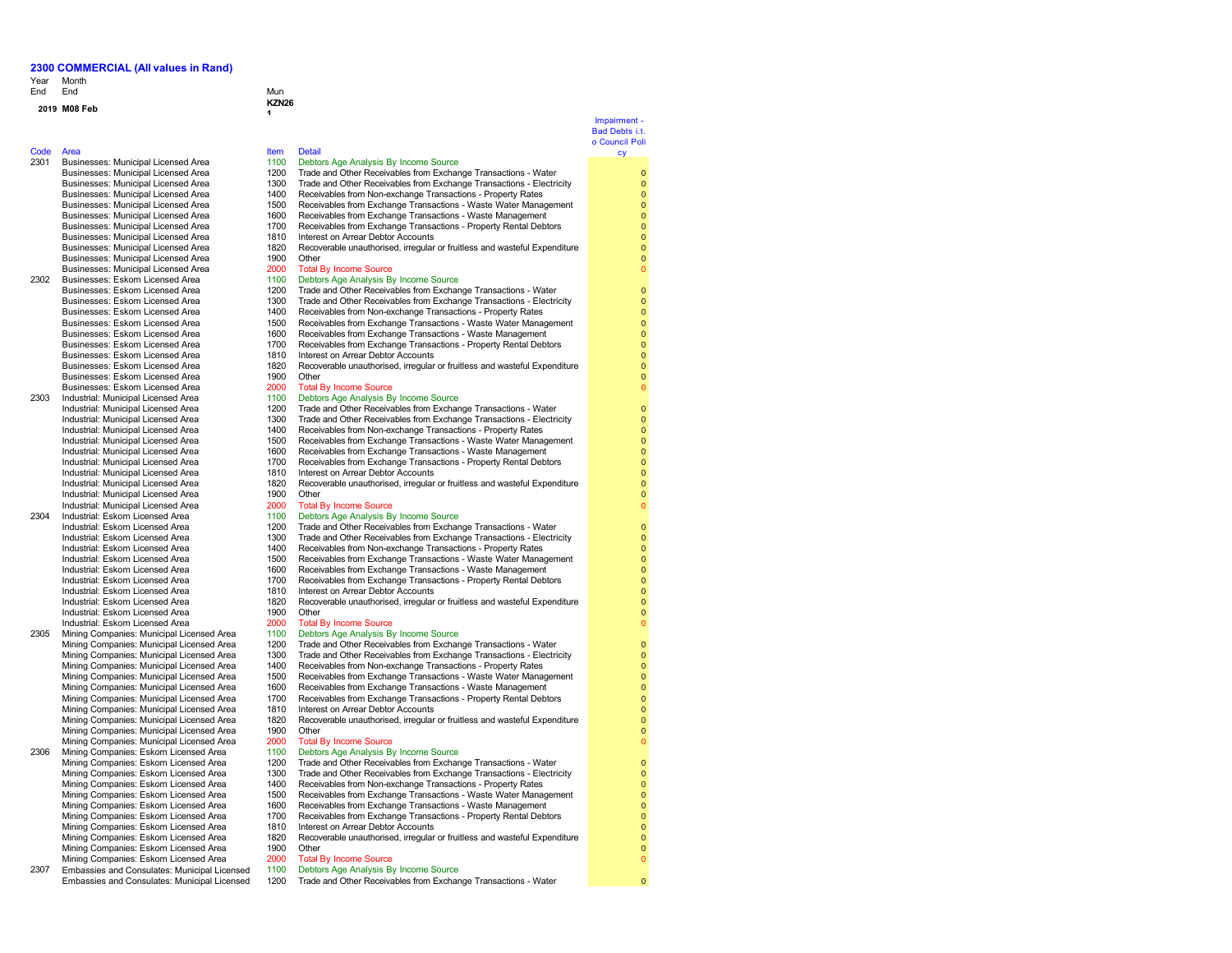### Year Month End End End Mun

## **<sup>2019</sup> M08 Feb KZN26**

### Code Area Item Detail

2301 Businesses: Municipal Licensed Area 1100<br>Businesses: Municipal Licensed Area 1200 Businesses: Municipal Licensed Area 1500<br>Businesses: Municipal Licensed Area 1600 Businesses: Municipal Licensed Area 1700<br>Businesses: Municipal Licensed Area 1810 Businesses: Municipal Licensed Area 1810<br>Businesses: Municipal Licensed Area 1820 Businesses: Municipal Licensed Area

- Businesses: Municipal Licensed Area 2000<br>Businesses: Eskom Licensed Area 2000 2302 Businesses: Eskom Licensed Area 1100<br>Businesses: Eskom Licensed Area 1200 Businesses: Eskom Licensed Area 1400<br>Businesses: Eskom Licensed Area 1500 Businesses: Eskom Licensed Area 1700<br>Businesses: Eskom Licensed Area 1810 Businesses: Eskom Licensed Area 1810<br>Businesses: Eskom Licensed Area 1820 Businesses: Eskom Licensed Area 1900<br>Businesses: Eskom Licensed Area 1900 Businesses: Eskom Licensed Area 2000<br>
Industrial: Municipal Licensed Area 2000 2303 Industrial: Municipal Licensed Area 1100<br>
Industrial: Municipal Licensed Area 1200 Industrial: Municipal Licensed Area
- Industrial: Municipal Licensed Area 1700 Receivables from Exchange Transactions Property Rental Debtors Industrial: Municipal Licensed Area 1810<br>Industrial: Municipal Licensed Area 1820 Industrial: Municipal Licensed Area 1900<br>1900 Industrial: Municipal Licensed Area Industrial: Municipal Licensed Area 2000<br>
Industrial: Eskom Licensed Area 2000 2304 Industrial: Eskom Licensed Area 1100<br>Industrial: Eskom Licensed Area 1200
	- Industrial: Eskom Licensed Area 1700 Receivables from Exchange Transactions Property Rental Debtors<br>1810 Interest on Arrear Debtor Accounts Industrial: Eskom Licensed Area 1810 Interest on Arrear Debtor Accounts<br>
	Industrial: Eskom Licensed Area 1820 Recoverable unauthorised. irregular
- Industrial: Eskom Licensed Area 1900 Other<br>1900 Total By Income Source 1900 Chain By Income Source Industrial: Eskom Licensed Area 2000 Total By Income Source<br>Mining Companies: Municipal Licensed Area 2010 Debtors Age Analysis By Income Source 2305 Mining Companies: Municipal Licensed Area 1100<br>Mining Companies: Municipal Licensed Area 1200
	- Mining Companies: Municipal Licensed Area 1400 Receivables from Non-exchange Transactions Property Rates<br>Mining Companies: Municipal Licensed Area 1500 Receivables from Exchange Transactions Waste Water Mana Mining Companies: Municipal Licensed Area 1500 Receivables from Exchange Transactions - Waste Water Management<br>Mining Companies: Municipal Licensed Area 1600 Receivables from Exchange Transactions - Waste Management Mining Companies: Municipal Licensed Area 1600 Receivables from Exchange Transactions - Waste Management<br>Mining Companies: Municipal Licensed Area 1700 Receivables from Exchange Transactions - Property Rental Debt Mining Companies: Municipal Licensed Area<br>Mining Companies: Municipal Licensed Area
- Mining Companies: Municipal Licensed Area 1900 Other<br>Mining Companies: Municipal Licensed Area 2000 Total By Income Source Mining Companies: Municipal Licensed Area 2000 Total By Income Source<br>Mining Companies: Eskom Licensed Area 1100 Debtors Age Analysis By Income Source 2306 Mining Companies: Eskom Licensed Area 1100<br>Mining Companies: Eskom Licensed Area 1200
- Mining Companies: Eskom Licensed Area 1300 Trade and Other Receivables from Exchange Transactions Electricity<br>Mining Companies: Eskom Licensed Area 1400 Receivables from Non-exchange Transactions Property Rates Mining Companies: Eskom Licensed Area 1400 Receivables from Non-exchange Transactions - Property Rates<br>Mining Companies: Eskom Licensed Area 1500 Receivables from Exchange Transactions - Waste Water Manac Mining Companies: Eskom Licensed Area 1500 Receivables from Exchange Transactions - Waste Water Management<br>Mining Companies: Eskom Licensed Area 1600 Receivables from Exchange Transactions - Waste Management Mining Companies: Eskom Licensed Area 1600 Receivables from Exchange Transactions - Waste Management<br>Mining Companies: Eskom Licensed Area 1700 Receivables from Exchange Transactions - Property Rental Debt Mining Companies: Eskom Licensed Area 1810 Interest on Arrear Debtor Accounts<br>Mining Companies: Eskom Licensed Area 1820 Recoverable unauthorised, irregular Mining Companies: Eskom Licensed Area
- Mining Companies: Eskom Licensed Area 2000 Total By Income Source<br>
Embassies and Consulates: Municipal Licensed 1100 Debtors Age Analysis By 2307 Embassies and Consulates: Municipal Licensed Embassies and Consulates: Municipal Licensed

| <b>IVIUI IU I</b><br>End            | Mun               |                                                                           |
|-------------------------------------|-------------------|---------------------------------------------------------------------------|
| M08 Feb                             | <b>KZN26</b><br>4 |                                                                           |
|                                     |                   |                                                                           |
| Area                                | <b>Item</b>       | <b>Detail</b>                                                             |
| Businesses: Municipal Licensed Area | 1100              | Debtors Age Analysis By Income Source                                     |
| Businesses: Municipal Licensed Area | 1200              | Trade and Other Receivables from Exchange Transactions - Water            |
| Businesses: Municipal Licensed Area | 1300              | Trade and Other Receivables from Exchange Transactions - Electricity      |
| Businesses: Municipal Licensed Area | 1400              | Receivables from Non-exchange Transactions - Property Rates               |
| Businesses: Municipal Licensed Area | 1500              | Receivables from Exchange Transactions - Waste Water Management           |
| Businesses: Municipal Licensed Area | 1600              | Receivables from Exchange Transactions - Waste Management                 |
| Businesses: Municipal Licensed Area | 1700              | Receivables from Exchange Transactions - Property Rental Debtors          |
| Businesses: Municipal Licensed Area | 1810              | Interest on Arrear Debtor Accounts                                        |
| Businesses: Municipal Licensed Area | 1820              | Recoverable unauthorised, irregular or fruitless and wasteful Expenditure |
| Businesses: Municipal Licensed Area | 1900              | Other                                                                     |
| Businesses: Municipal Licensed Area | 2000              | <b>Total By Income Source</b>                                             |
| Businesses: Eskom Licensed Area     | 1100              | Debtors Age Analysis By Income Source                                     |
| Businesses: Eskom Licensed Area     | 1200              | Trade and Other Receivables from Exchange Transactions - Water            |
| Businesses: Eskom Licensed Area     | 1300              | Trade and Other Receivables from Exchange Transactions - Electricity      |
| Businesses: Eskom Licensed Area     | 1400              | Receivables from Non-exchange Transactions - Property Rates               |
| Businesses: Eskom Licensed Area     | 1500              | Receivables from Exchange Transactions - Waste Water Management           |
| Businesses: Eskom Licensed Area     | 1600              | Receivables from Exchange Transactions - Waste Management                 |
| Businesses: Eskom Licensed Area     | 1700              | Receivables from Exchange Transactions - Property Rental Debtors          |
| Businesses: Eskom Licensed Area     | 1810              | Interest on Arrear Debtor Accounts                                        |
| Businesses: Eskom Licensed Area     | 1820              | Recoverable unauthorised, irregular or fruitless and wasteful Expenditure |
| Businesses: Eskom Licensed Area     | 1900              | Other                                                                     |
| Businesses: Eskom Licensed Area     | 2000              | <b>Total By Income Source</b>                                             |
| Industrial: Municipal Licensed Area | 1100              | Debtors Age Analysis By Income Source                                     |
| Industrial: Municipal Licensed Area | 1200              | Trade and Other Receivables from Exchange Transactions - Water            |
| Industrial: Municipal Licensed Area | 1300              | Trade and Other Receivables from Exchange Transactions - Electricity      |
| Industrial: Municipal Licensed Area | 1400              | Receivables from Non-exchange Transactions - Property Rates               |
| Industrial: Municipal Licensed Area | 1500              | Receivables from Exchange Transactions - Waste Water Management           |
| Industrial: Municipal Licensed Area | 1600              | Receivables from Exchange Transactions - Waste Management                 |
| Industrial: Municipal Licensed Area | 1700              | Receivables from Exchange Transactions - Property Rental Debtors          |
| Industrial: Municipal Licensed Area | 1810              | Interest on Arrear Debtor Accounts                                        |
| Industrial: Municipal Licensed Area | 1820              | Recoverable unauthorised, irregular or fruitless and wasteful Expenditure |
| Industrial: Municipal Licensed Area | 1900              | Other                                                                     |
| Industrial: Municipal Licensed Area | 2000              | <b>Total By Income Source</b>                                             |
| Industrial: Eskom Licensed Area     | 1100              | Debtors Age Analysis By Income Source                                     |

- 
- 

- 
- Industrial: Eskom Licensed Area 1200 Trade and Other Receivables from Exchange Transactions Water<br>1200 Trade and Other Receivables from Exchange Transactions Electri
- Industrial: Eskom Licensed Area 1300 Trade and Other Receivables from Exchange Transactions Electricity<br>1400 Receivables from Non-exchange Transactions Property Rates
- Industrial: Eskom Licensed Area 1400 Receivables from Non-exchange Transactions Property Rates<br>1500 Receivables from Exchange Transactions Waste Water Mana
- Industrial: Eskom Licensed Area 1500 Receivables from Exchange Transactions Waste Water Management<br>1600 Receivables from Exchange Transactions Waste Management
- Industrial: Eskom Licensed Area 1600 Receivables from Exchange Transactions Waste Management<br>1600 Receivables from Exchange Transactions Property Rental Debt<br>1700 Receivables from Exchange Transactions Property Renta
	-
	- 1820 Recoverable unauthorised, irregular or fruitless and wasteful Expenditure
	-

- 
- Mining Companies: Municipal Licensed Area 1200 Trade and Other Receivables from Exchange Transactions Water<br>Mining Companies: Municipal Licensed Area 1300 Trade and Other Receivables from Exchange Transactions Electr
	- Mining Companies: Municipal Licensed Area 1300 Trade and Other Receivables from Exchange Transactions Electricity
	-
	-
	-
	- 1700 Receivables from Exchange Transactions Property Rental Debtors<br>1810 Interest on Arrear Debtor Accounts
	-
	- 1820 Recoverable unauthorised, irregular or fruitless and wasteful Expenditure<br>1900 Other
	-
	-
	- Trade and Other Receivables from Exchange Transactions Water
	-
	-
	-
	- Receivables from Exchange Transactions Property Rental Debtors
	-
	-
	- 1820 Recoverable unauthorised, irregular or fruitless and wasteful Expenditure<br>1900 Other
	-
	- Debtors Age Analysis By Income Source
	- 1200 Trade and Other Receivables from Exchange Transactions Water

### Impairment - Bad Debts i.t. o Council Poli cy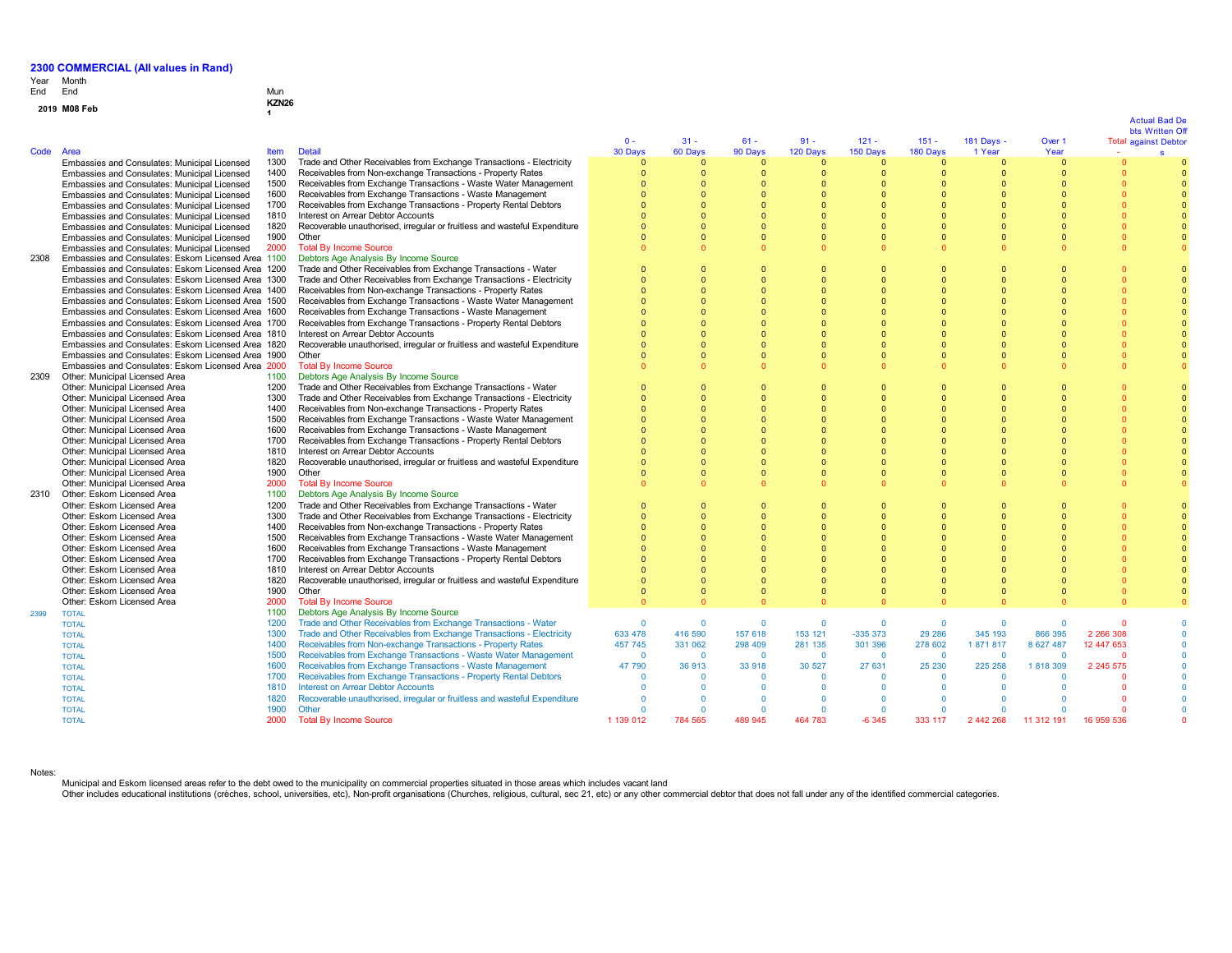# Year End Month End Mun

|              | KZN <sub>26</sub> |
|--------------|-------------------|
| 2019 M08 Feb |                   |

| Code | Area                                               | <b>Item</b> | <b>Detail</b>                                                             | $0 -$<br>30 Days | $31 -$<br>60 Days    | $61 -$<br>90 Days    | $91 -$<br>120 Days | $121 -$<br>150 Days | $151 -$<br>180 Days | 181 Days -<br>1 Year | Over 1<br>Year |               | bts Written Of<br><b>Total against Debtor</b><br>s |
|------|----------------------------------------------------|-------------|---------------------------------------------------------------------------|------------------|----------------------|----------------------|--------------------|---------------------|---------------------|----------------------|----------------|---------------|----------------------------------------------------|
|      |                                                    | 1300        | Trade and Other Receivables from Exchange Transactions - Electricity      | $\Omega$         | $\Omega$             | $\Omega$             | $\Omega$           | $\Omega$            | $\Omega$            | n                    | $\Omega$       | $\sqrt{ }$    |                                                    |
|      | Embassies and Consulates: Municipal Licensed       | 1400        |                                                                           | $\Omega$         | $\Omega$             | $\Omega$             | $\Omega$           | $\Omega$            | $\Omega$            | $\Omega$             |                | $\Omega$      |                                                    |
|      | Embassies and Consulates: Municipal Licensed       |             | Receivables from Non-exchange Transactions - Property Rates               | $\Omega$         |                      |                      |                    | $\Omega$            | $\Omega$            |                      |                |               |                                                    |
|      | Embassies and Consulates: Municipal Licensed       | 1500        | Receivables from Exchange Transactions - Waste Water Management           | $\Omega$         | $\Omega$<br>$\Omega$ | $\Omega$<br>$\Omega$ |                    | $\Omega$            | $\Omega$            | n<br>n               |                |               |                                                    |
|      | Embassies and Consulates: Municipal Licensed       | 1600        | Receivables from Exchange Transactions - Waste Management                 |                  |                      |                      |                    |                     |                     |                      |                |               |                                                    |
|      | Embassies and Consulates: Municipal Licensed       | 1700        | Receivables from Exchange Transactions - Property Rental Debtors          |                  | $\Omega$             |                      |                    |                     | $\Omega$            |                      |                |               |                                                    |
|      | Embassies and Consulates: Municipal Licensed       | 1810        | Interest on Arrear Debtor Accounts                                        |                  | $\Omega$             |                      |                    |                     | $\Omega$            |                      |                |               |                                                    |
|      | Embassies and Consulates: Municipal Licensed       | 1820        | Recoverable unauthorised, irregular or fruitless and wasteful Expenditure |                  | $\Omega$             | $\Omega$             |                    | $\Omega$            | $\Omega$            | n                    |                |               |                                                    |
|      | Embassies and Consulates: Municipal Licensed       | 1900        | Other                                                                     |                  | $\Omega$             | $\Omega$             |                    | $\Omega$            | $\Omega$            | $\Omega$             |                |               |                                                    |
|      | Embassies and Consulates: Municipal Licensed       | 2000        | <b>Total By Income Source</b>                                             | $\Omega$         | $\Omega$             | $\Omega$             |                    | $\Omega$            | $\Omega$            |                      |                | $\Omega$      |                                                    |
| 2308 | Embassies and Consulates: Eskom Licensed Area 1100 |             | Debtors Age Analysis By Income Source                                     |                  |                      |                      |                    |                     |                     |                      |                |               |                                                    |
|      | Embassies and Consulates: Eskom Licensed Area 1200 |             | Trade and Other Receivables from Exchange Transactions - Water            | $\Omega$         | $\Omega$             | $\Omega$             | $\Omega$           | $\Omega$            | $\Omega$            |                      |                |               |                                                    |
|      | Embassies and Consulates: Eskom Licensed Area 1300 |             | Trade and Other Receivables from Exchange Transactions - Electricity      | $\Omega$         | $\Omega$             | $\Omega$             |                    | $\Omega$            | $\Omega$            |                      |                |               |                                                    |
|      | Embassies and Consulates: Eskom Licensed Area 1400 |             | Receivables from Non-exchange Transactions - Property Rates               | $\Omega$         | $\Omega$             | $\Omega$             |                    | $\Omega$            | $\Omega$            | $\Omega$             |                |               |                                                    |
|      | Embassies and Consulates: Eskom Licensed Area 1500 |             | Receivables from Exchange Transactions - Waste Water Management           | $\Omega$         | $\Omega$             |                      |                    |                     | $\Omega$            | n                    |                |               |                                                    |
|      | Embassies and Consulates: Eskom Licensed Area 1600 |             | Receivables from Exchange Transactions - Waste Management                 |                  | $\Omega$             |                      |                    |                     | $\Omega$            |                      |                |               |                                                    |
|      | Embassies and Consulates: Eskom Licensed Area 1700 |             | Receivables from Exchange Transactions - Property Rental Debtors          |                  | $\Omega$             | $\Omega$             |                    | $\Omega$            | $\Omega$            |                      |                |               |                                                    |
|      | Embassies and Consulates: Eskom Licensed Area 1810 |             | Interest on Arrear Debtor Accounts                                        |                  | $\Omega$             |                      |                    |                     | $\Omega$            |                      |                |               |                                                    |
|      | Embassies and Consulates: Eskom Licensed Area 1820 |             | Recoverable unauthorised, irregular or fruitless and wasteful Expenditure |                  | $\Omega$             | $\Omega$             |                    | $\Omega$            | $\Omega$            |                      |                |               |                                                    |
|      | Embassies and Consulates: Eskom Licensed Area 1900 |             | Other                                                                     | $\Omega$         | $\Omega$             | $\Omega$             | $\Omega$           | $\Omega$            | $\Omega$            | $\Omega$             |                |               |                                                    |
|      | Embassies and Consulates: Eskom Licensed Area 2000 |             | <b>Total By Income Source</b>                                             |                  | $\Omega$             |                      |                    |                     | $\Omega$            |                      |                |               |                                                    |
| 2309 | Other: Municipal Licensed Area                     | 1100        | Debtors Age Analysis By Income Source                                     |                  |                      |                      |                    |                     |                     |                      |                |               |                                                    |
|      | Other: Municipal Licensed Area                     | 1200        | Trade and Other Receivables from Exchange Transactions - Water            | - 0              | $\Omega$             | $\Omega$             | $\Omega$           | $\Omega$            | $\Omega$            |                      |                |               |                                                    |
|      | Other: Municipal Licensed Area                     | 1300        | Trade and Other Receivables from Exchange Transactions - Electricity      | $\Omega$         | $\Omega$             | $\Omega$             |                    | $\Omega$            | $\Omega$            | n                    |                |               |                                                    |
|      | Other: Municipal Licensed Area                     | 1400        | Receivables from Non-exchange Transactions - Property Rates               | $\Omega$         | $\Omega$             | $\Omega$             |                    | $\Omega$            | $\Omega$            | $\Omega$             |                |               |                                                    |
|      | Other: Municipal Licensed Area                     | 1500        | Receivables from Exchange Transactions - Waste Water Management           | $\Omega$         | $\Omega$             | $\Omega$             |                    | $\Omega$            | $\Omega$            | $\Omega$             |                |               |                                                    |
|      | Other: Municipal Licensed Area                     | 1600        | Receivables from Exchange Transactions - Waste Management                 |                  | $\Omega$             |                      |                    |                     | $\Omega$            |                      |                |               |                                                    |
|      | Other: Municipal Licensed Area                     | 1700        | Receivables from Exchange Transactions - Property Rental Debtors          |                  | $\Omega$             | $\Omega$             |                    | $\Omega$            | $\Omega$            |                      |                |               |                                                    |
|      | Other: Municipal Licensed Area                     | 1810        | Interest on Arrear Debtor Accounts                                        |                  | $\Omega$             | $\Omega$             |                    | $\Omega$            | $\Omega$            |                      |                |               |                                                    |
|      | Other: Municipal Licensed Area                     | 1820        | Recoverable unauthorised, irregular or fruitless and wasteful Expenditure |                  | $\Omega$             |                      |                    | $\Omega$            | $\Omega$            |                      |                |               |                                                    |
|      | Other: Municipal Licensed Area                     | 1900        | Other                                                                     |                  | $\Omega$             | $\Omega$             | $\Omega$           | $\Omega$            | $\Omega$            |                      |                | $\Omega$      |                                                    |
|      | Other: Municipal Licensed Area                     | 2000        | <b>Total By Income Source</b>                                             | $\Omega$         | $\Omega$             | $\Omega$             |                    | $\Omega$            | $\Omega$            |                      |                | $\Omega$      |                                                    |
| 2310 | Other: Eskom Licensed Area                         | 1100        | Debtors Age Analysis By Income Source                                     |                  |                      |                      |                    |                     |                     |                      |                |               |                                                    |
|      | Other: Eskom Licensed Area                         | 1200        | Trade and Other Receivables from Exchange Transactions - Water            | $\Omega$         | $\Omega$             | $\Omega$             |                    | $\Omega$            | $\Omega$            |                      |                |               |                                                    |
|      | Other: Eskom Licensed Area                         | 1300        | Trade and Other Receivables from Exchange Transactions - Electricity      | $\Omega$         | $\Omega$             | $\Omega$             | $\Omega$           | $\Omega$            | $\Omega$            | $\Omega$             |                |               |                                                    |
|      | Other: Eskom Licensed Area                         | 1400        | Receivables from Non-exchange Transactions - Property Rates               | $\Omega$         | $\Omega$             |                      |                    |                     | $\Omega$            |                      |                |               |                                                    |
|      | Other: Eskom Licensed Area                         | 1500        | Receivables from Exchange Transactions - Waste Water Management           | $\Omega$         | $\Omega$             |                      |                    |                     | $\Omega$            |                      |                |               |                                                    |
|      | Other: Eskom Licensed Area                         | 1600        | Receivables from Exchange Transactions - Waste Management                 | $\Omega$         | $\Omega$             | $\Omega$             |                    | $\Omega$            | $\Omega$            | $\Omega$             |                |               |                                                    |
|      | Other: Eskom Licensed Area                         | 1700        | Receivables from Exchange Transactions - Property Rental Debtors          |                  | $\Omega$             |                      |                    |                     |                     |                      |                |               |                                                    |
|      | Other: Eskom Licensed Area                         | 1810        | Interest on Arrear Debtor Accounts                                        | $\Omega$         | $\Omega$             | $\Omega$             |                    | $\Omega$            | $\Omega$            |                      |                |               |                                                    |
|      | Other: Eskom Licensed Area                         | 1820        | Recoverable unauthorised, irregular or fruitless and wasteful Expenditure | $\Omega$         | $\Omega$             | $\Omega$             |                    | $\Omega$            | $\Omega$            | $\Omega$             |                |               |                                                    |
|      | Other: Eskom Licensed Area                         | 1900        | Other                                                                     | $\Omega$         | $\Omega$             |                      |                    | $\Omega$            | $\Omega$            |                      |                |               |                                                    |
|      | Other: Eskom Licensed Area                         | 2000        | <b>Total By Income Source</b>                                             | $\Omega$         | $\Omega$             |                      |                    | $\cap$              | $\Omega$            |                      |                |               |                                                    |
| 2399 | <b>TOTAL</b>                                       | 1100        | Debtors Age Analysis By Income Source                                     |                  |                      |                      |                    |                     |                     |                      |                |               |                                                    |
|      | <b>TOTAL</b>                                       | 1200        | Trade and Other Receivables from Exchange Transactions - Water            | $\Omega$         | $\Omega$             | $\Omega$             | $\Omega$           | $\Omega$            | $\Omega$            | $\Omega$             |                |               |                                                    |
|      | <b>TOTAL</b>                                       | 1300        | Trade and Other Receivables from Exchange Transactions - Electricity      | 633 478          | 416 590              | 157 618              | 153 121            | $-335373$           | 29 28 6             | 345 193              | 866 395        | 2 266 308     |                                                    |
|      | <b>TOTAL</b>                                       | 1400        | Receivables from Non-exchange Transactions - Property Rates               | 457 745          | 331 062              | 298 409              | 281 135            | 301 396             | 278 602             | 1871817              | 8 627 487      | 12 447 653    |                                                    |
|      | <b>TOTAL</b>                                       | 1500        | Receivables from Exchange Transactions - Waste Water Management           | $\overline{0}$   | $\mathbf{0}$         | $\Omega$             | $\Omega$           | $\overline{0}$      | $\Omega$            | $\Omega$             |                |               |                                                    |
|      | <b>TOTAL</b>                                       | 1600        | Receivables from Exchange Transactions - Waste Management                 | 47 790           | 36 913               | 33 918               | 30 527             | 27 631              | 25 230              | 225 258              | 1818309        | 2 2 4 5 5 7 5 |                                                    |
|      | <b>TOTAL</b>                                       | 1700        | Receivables from Exchange Transactions - Property Rental Debtors          | $\Omega$         | $\Omega$             | $\Omega$             | $\Omega$           | $\Omega$            | $\Omega$            | $\Omega$             |                | c             |                                                    |
|      | <b>TOTAL</b>                                       | 1810        | <b>Interest on Arrear Debtor Accounts</b>                                 | $\Omega$         | $\Omega$             | $\Omega$             | $\Omega$           | $\Omega$            | $\Omega$            | $\Omega$             |                |               |                                                    |
|      | <b>TOTAL</b>                                       | 1820        | Recoverable unauthorised, irregular or fruitless and wasteful Expenditure | $\Omega$         | $\Omega$             | $\Omega$             | $\Omega$           | $\Omega$            | $\Omega$            | $\Omega$             |                |               |                                                    |
|      | <b>TOTAL</b>                                       | 1900        | Other                                                                     | $\Omega$         | $\Omega$             | $\overline{0}$       | $\Omega$           | $\Omega$            | $\Omega$            | O                    | $\Omega$       |               |                                                    |
|      | <b>TOTAL</b>                                       | 2000        | <b>Total By Income Source</b>                                             | 1 139 012        | 784 565              | 489 945              | 464 783            | $-6345$             | 333 117             | 2 442 268            | 11 312 191     | 16 959 536    |                                                    |

Notes:

Municipal and Eskom licensed areas refer to the debt owed to the municipality on commercial properties situated in those areas which includes vacant land<br>Other includes educational institutions (crèches, school, universiti

# Actual Bad De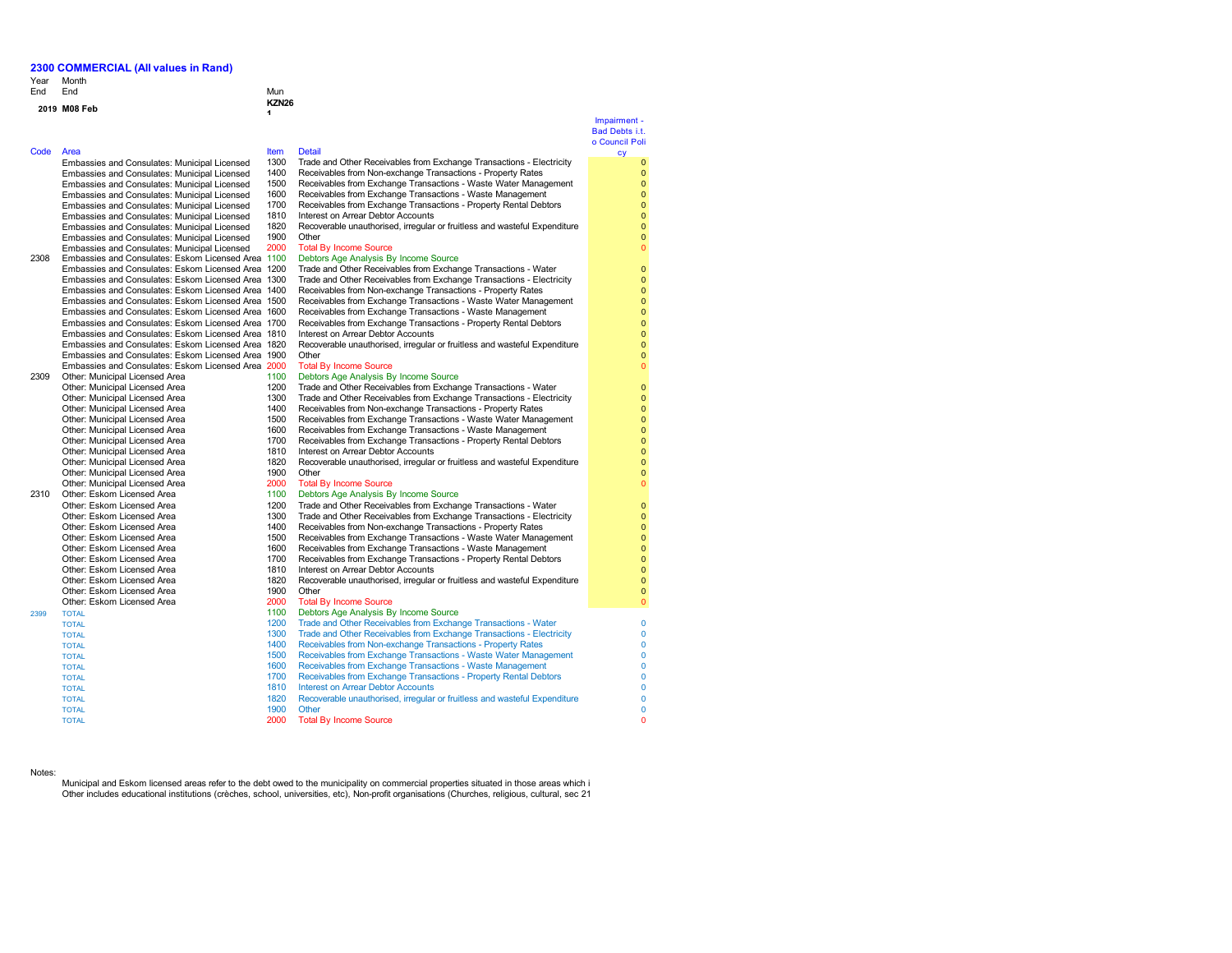Year Month End End End Mun

## **<sup>2019</sup> M08 Feb KZN26**

Code Area<br>Embassies and Consulates: Municipal Licensed 1300 Trade Embassies and Consulates: Municipal Licensed Embassies and Consulates: Municipal Licensed Embassies and Consulates: Municipal Licensed Embassies and Consulates: Municipal Licensed Embassies and Consulates: Municipal Licensed Embassies and Consulates: Municipal Licensed Embassies and Consulates: Municipal Licensed Embassies and Consulates: Municipal Licensed Embassies and Consulates: Municipal Licensed 2308 Embassies and Consulates: Eskom Licensed Area 1100 Debtors Age Analysis By Income Source Embassies and Consulates: Eskom Licensed Area 12 Embassies and Consulates: Eskom Licensed Area 13 Embassies and Consulates: Eskom Licensed Area, 1400 Received Recentles from Non-Embassies and Consulates: Eskom Licensed Area 15 Embassies and Consulates: Eskom Licensed Area 1600 Embassies and Consulates: Eskom Licensed Area 17 Embassies and Consulates: Eskom Licensed Area 18 Embassies and Consulates: Eskom Licensed Area 18 Embassies and Consulates: Eskom Licensed Area 19 Embassies and Consulates: Eskom Licensed Area 20 2309 Other: Municipal Licensed Area 1100 Debtors Age Analysis By Income Source Source Source Source Source Source Source Source Source Source Source Source Source Source Source Source Source Source Source Source Source Sou Other: Municipal Licensed Area 1200 Trade and Other Receives from Exchange Transactions - Management - Water Transactions - Water Transactions - Water Transactions - Water Transactions - Water Transactions - Water Transact Other: Municipal Licensed Area 1300 Trade and Other Receives from Exchange Transactions - Electricity - Electricity - Electricity - Electricity - Electricity - Electricity - Electricity - Electricity - Electricity - Electr Other: Municipal Licensed Area 1400 Received Area 1400 Received Area 1400 Received Area 1500 Received Area 1500 Received Area 1500 Received Area 1500 Received Area 1500 Received Area 1500 Received Area 1500 Received Area 1 Other: Municipal Licensed Area 1500 Receives from Exchange Transactions - Management - Waste Management Management Management of Management Management Management Management Management Management Management Management Manag Other: Municipal Licensed Area Other: Municipal Licensed Area 17<br>Other: Municipal Licensed Area 18 Other: Municipal Licensed Area Other: Municipal Licensed Area 18<br>2020 Recoverable unauthorised, include unauthorised, include the wasteful Expenditure and wasteful Expenditure Other: Municipal Licensed Area 19<br>Other: Municipal Licensed Area 20 Other: Municipal Licensed Area 2310 Other: Eskom Licensed Area 11<br>1100 Other: Eskom Licensed Area 12 Other: Eskom Licensed Area 12<br>Other: Eskom Licensed Area 1200 Transactions - Water Transactions - Water Other: Eskom Licensed Area 13<br>1300 Other: Eskom Licensed Area Other: Eskom Licensed Area 14<br>1500 Other: Eskom Licensed Area 15 Other: Eskom Licensed Area Other: Eskom Licensed Area 16<br>
1600 Received Area 17<br>
17 Other: Eskom Licensed Area 17<br>1700 Received Area 1800 Rental Debtors - Property Rental Debtors - Property Rental Debtors - Property Rental D Other: Eskom Licensed Area 18<br>
Other: Eskom Licensed Area 18 Other: Eskom Licensed Area 18<br>2020 Recoverable unauthorised, include unauthorised, include the manufacture of the U Other: Eskom Licensed Area Other: Eskom Licensed Area 2000 Total By Income Source Source Source Source Source Source Source Source Source 2399 TOTAL 1100 Debtors Age Analysis By Income Source TOTAL 1810 Interest on Arrear Debtor Accounts TOTAL 1900 Other

**1**

### Impairment - Bad Debts i.t. o Council Poli cy

1300 Trade and Other Receivables from Exchange Transactions - Electricity<br>1400 Receivables from Non-exchange Transactions - Property Rates

- 1400 Receivables from Non-exchange Transactions Property Rates
- 1500 Receivables from Exchange Transactions Waste Water Management<br>1600 Receivables from Exchange Transactions Waste Management 1600 Receivables from Exchange Transactions - Waste Management
- 1700 Receivables from Exchange Transactions Property Rental Debtors<br>1810 Interest on Arrear Debtor Accounts
- 1810 Interest on Arrear Debtor Accounts<br>1820 Recoverable unauthorised. irregular Recoverable unauthorised, irregular or fruitless and wasteful Expenditure
- 1900 Other<br>2000 Total

## **Total By Income Source**<br>Debters Age Anglusia By Income Source

| Ellibassies and Consulates. Eskurii Licensed Area TT00 |      | Deplois Age Arialysis by income Source                                    |  |
|--------------------------------------------------------|------|---------------------------------------------------------------------------|--|
| Embassies and Consulates: Eskom Licensed Area 1200     |      | Trade and Other Receivables from Exchange Transactions - Water            |  |
| Embassies and Consulates: Eskom Licensed Area 1300     |      | Trade and Other Receivables from Exchange Transactions - Electricity      |  |
| Embassies and Consulates: Eskom Licensed Area 1400     |      | Receivables from Non-exchange Transactions - Property Rates               |  |
| Embassies and Consulates: Eskom Licensed Area 1500     |      | Receivables from Exchange Transactions - Waste Water Management           |  |
| Embassies and Consulates: Eskom Licensed Area 1600     |      | Receivables from Exchange Transactions - Waste Management                 |  |
| Embassies and Consulates: Eskom Licensed Area 1700     |      | Receivables from Exchange Transactions - Property Rental Debtors          |  |
| Embassies and Consulates: Eskom Licensed Area 1810     |      | Interest on Arrear Debtor Accounts                                        |  |
| Embassies and Consulates: Eskom Licensed Area 1820     |      | Recoverable unauthorised, irregular or fruitless and wasteful Expenditure |  |
| Embassies and Consulates: Eskom Licensed Area 1900     |      | Other                                                                     |  |
| Embassies and Consulates: Eskom Licensed Area 2000     |      | <b>Total By Income Source</b>                                             |  |
| Other: Municipal Licensed Area                         | 1100 | Debtors Age Analysis By Income Source                                     |  |
| Other: Municipal Licensed Area                         | 1200 | Trade and Other Receivables from Exchange Transactions - Water            |  |
| Other: Municipal Licensed Area                         | 1300 | Trade and Other Receivables from Exchange Transactions - Electricity      |  |
| Other: Municipal Licensed Area                         | 1400 | Receivables from Non-exchange Transactions - Property Rates               |  |
| Other: Municipal Licensed Area                         | 1500 | Receivables from Exchange Transactions - Waste Water Management           |  |
| Other: Municipal Licensed Area                         | 1600 | Receivables from Exchange Transactions - Waste Management                 |  |
| Other: Municipal Licensed Area                         | 1700 | Receivables from Exchange Transactions - Property Rental Debtors          |  |
| Other: Municipal Licensed Area                         | 1810 | Interest on Arrear Debtor Accounts                                        |  |
| Other: Municipal Licensed Area                         | 1820 | Recoverable unauthorised, irregular or fruitless and wasteful Expenditure |  |
| Other: Municipal Licensed Area                         | 1900 | Other                                                                     |  |
| Other: Municipal Licensed Area                         | 2000 | <b>Total By Income Source</b>                                             |  |
| Other: Eskom Licensed Area                             | 1100 | Debtors Age Analysis By Income Source                                     |  |
| Other: Eskom Licensed Area                             | 1200 | Trade and Other Receivables from Exchange Transactions - Water            |  |
| Other: Eskom Licensed Area                             | 1300 | Trade and Other Receivables from Exchange Transactions - Electricity      |  |
| Other: Eskom Licensed Area                             | 1400 | Receivables from Non-exchange Transactions - Property Rates               |  |
| Other: Eskom Licensed Area                             | 1500 | Receivables from Exchange Transactions - Waste Water Management           |  |
| Other: Eskom Licensed Area                             | 1600 | Receivables from Exchange Transactions - Waste Management                 |  |
| Other: Eskom Licensed Area                             | 1700 | Receivables from Exchange Transactions - Property Rental Debtors          |  |
| Other: Eskom Licensed Area                             | 1810 | Interest on Arrear Debtor Accounts                                        |  |
| Other: Eskom Licensed Area                             | 1820 | Recoverable unauthorised, irregular or fruitless and wasteful Expenditure |  |
| Other: Eskom Licensed Area                             | 1900 | Other                                                                     |  |
| Other: Eskom Licensed Area                             | 2000 | <b>Total By Income Source</b>                                             |  |
| <b>TOTAL</b>                                           | 1100 | Debtors Age Analysis By Income Source                                     |  |
| TOTAL                                                  | 1200 | Trade and Other Receivables from Exchange Transactions - Water            |  |
| <b>TOTAL</b>                                           | 1300 | Trade and Other Receivables from Exchange Transactions - Electricity      |  |
| <b>TOTAL</b>                                           | 1400 | Receivables from Non-exchange Transactions - Property Rates               |  |
| <b>TOTAL</b>                                           | 1500 | Receivables from Exchange Transactions - Waste Water Management           |  |
| <b>TOTAL</b>                                           | 1600 | Receivables from Exchange Transactions - Waste Management                 |  |
| <b>TOTAL</b>                                           | 1700 | Receivables from Exchange Transactions - Property Rental Debtors          |  |
| <b>TOTAL</b>                                           | 1810 | <b>Interest on Arrear Debtor Accounts</b>                                 |  |
| <b>TOTAL</b>                                           | 1820 | Recoverable unauthorised, irregular or fruitless and wasteful Expenditure |  |

### Notes:

Municipal and Eskom licensed areas refer to the debt owed to the municipality on commercial properties situated in those areas which i Other includes educational institutions (crèches, school, universities, etc), Non-profit organisations (Churches, religious, cultural, sec 21

TOTAL 2000 Total By Income Source